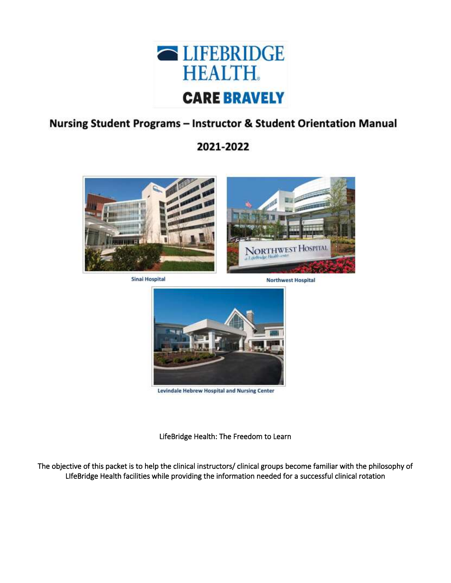

# Nursing Student Programs - Instructor & Student Orientation Manual

2021-2022



**Sinai Hospital** 

**Northwest Hospital** 



Levindale Hebrew Hospital and Nursing Center

LifeBridge Health: The Freedom to Learn

The objective of this packet is to help the clinical instructors/ clinical groups become familiar with the philosophy of LIfeBridge Health facilities while providing the information needed for a successful clinical rotation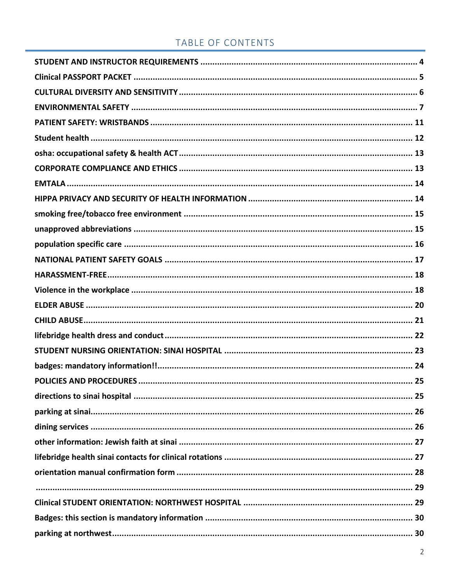### TABLE OF CONTENTS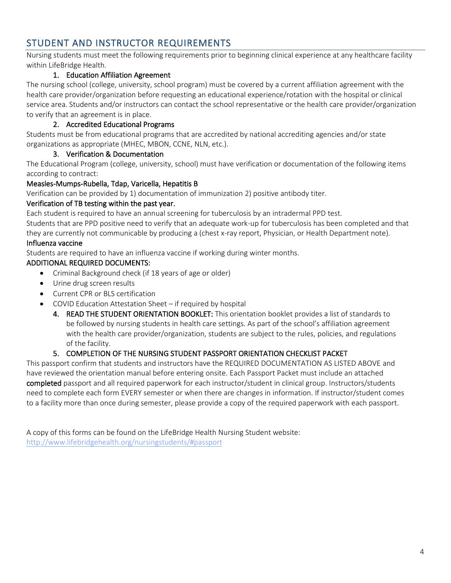### <span id="page-3-0"></span>STUDENT AND INSTRUCTOR REQUIREMENTS

Nursing students must meet the following requirements prior to beginning clinical experience at any healthcare facility within LifeBridge Health.

#### 1. Education Affiliation Agreement

The nursing school (college, university, school program) must be covered by a current affiliation agreement with the health care provider/organization before requesting an educational experience/rotation with the hospital or clinical service area. Students and/or instructors can contact the school representative or the health care provider/organization to verify that an agreement is in place.

#### 2. Accredited Educational Programs

Students must be from educational programs that are accredited by national accrediting agencies and/or state organizations as appropriate (MHEC, MBON, CCNE, NLN, etc.).

#### 3. Verification & Documentation

The Educational Program (college, university, school) must have verification or documentation of the following items according to contract:

#### Measles-Mumps-Rubella, Tdap, Varicella, Hepatitis B

Verification can be provided by 1) documentation of immunization 2) positive antibody titer.

#### Verification of TB testing within the past year.

Each student is required to have an annual screening for tuberculosis by an intradermal PPD test.

Students that are PPD positive need to verify that an adequate work-up for tuberculosis has been completed and that they are currently not communicable by producing a (chest x-ray report, Physician, or Health Department note).

#### Influenza vaccine

Students are required to have an influenza vaccine if working during winter months.

#### ADDITIONAL REQUIRED DOCUMENTS:

- Criminal Background check (if 18 years of age or older)
- Urine drug screen results
- Current CPR or BLS certification
- COVID Education Attestation Sheet if required by hospital
	- 4. READ THE STUDENT ORIENTATION BOOKLET: This orientation booklet provides a list of standards to be followed by nursing students in health care settings. As part of the school's affiliation agreement with the health care provider/organization, students are subject to the rules, policies, and regulations of the facility.

#### 5. COMPLETION OF THE NURSING STUDENT PASSPORT ORIENTATION CHECKLIST PACKET

This passport confirm that students and instructors have the REQUIRED DOCUMENTATION AS LISTED ABOVE and have reviewed the orientation manual before entering onsite. Each Passport Packet must include an attached completed passport and all required paperwork for each instructor/student in clinical group. Instructors/students need to complete each form EVERY semester or when there are changes in information. If instructor/student comes to a facility more than once during semester, please provide a copy of the required paperwork with each passport.

A copy of this forms can be found on the LifeBridge Health Nursing Student website: <http://www.lifebridgehealth.org/nursingstudents/#passport>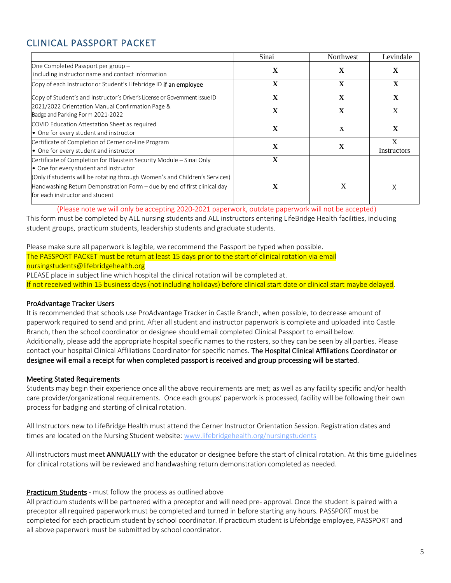# <span id="page-4-0"></span>CLINICAL PASSPORT PACKET

|                                                                                                                                                                                               | Sinai | Northwest   | Levindale        |
|-----------------------------------------------------------------------------------------------------------------------------------------------------------------------------------------------|-------|-------------|------------------|
| One Completed Passport per group -<br>including instructor name and contact information                                                                                                       | X     | X           | X                |
| Copy of each Instructor or Student's Lifebridge ID if an employee                                                                                                                             | X     | $\mathbf X$ | X                |
| Copy of Student's and Instructor's Driver's License or Government Issue ID                                                                                                                    | X     | X           | X                |
| 2021/2022 Orientation Manual Confirmation Page &<br>Badge and Parking Form 2021-2022                                                                                                          | X     | $\mathbf X$ | X                |
| COVID Education Attestation Sheet as required<br>• One for every student and instructor                                                                                                       | X     | X           | X                |
| Certificate of Completion of Cerner on-line Program<br>• One for every student and instructor                                                                                                 | X     | x           | X<br>Instructors |
| Certificate of Completion for Blaustein Security Module - Sinai Only<br>• One for every student and instructor<br>(Only if students will be rotating through Women's and Children's Services) | X     |             |                  |
| Handwashing Return Demonstration Form - due by end of first clinical day<br>for each instructor and student                                                                                   |       | X           | Χ                |

(Please note we will only be accepting 2020-2021 paperwork, outdate paperwork will not be accepted) This form must be completed by ALL nursing students and ALL instructors entering LifeBridge Health facilities, including student groups, practicum students, leadership students and graduate students.

#### Please make sure all paperwork is legible, we recommend the Passport be typed when possible. The PASSPORT PACKET must be return at least 15 days prior to the start of clinical rotation via email nursingstudents@lifebridgehealth.org

PLEASE place in subject line which hospital the clinical rotation will be completed at. If not received within 15 business days (not including holidays) before clinical start date or clinical start maybe delayed.

#### ProAdvantage Tracker Users

It is recommended that schools use ProAdvantage Tracker in Castle Branch, when possible, to decrease amount of paperwork required to send and print. After all student and instructor paperwork is complete and uploaded into Castle Branch, then the school coordinator or designee should email completed Clinical Passport to email below. Additionally, please add the appropriate hospital specific names to the rosters, so they can be seen by all parties. Please contact your hospital Clinical Affiliations Coordinator for specific names. The Hospital Clinical Affiliations Coordinator or designee will email a receipt for when completed passport is received and group processing will be started.

#### Meeting Stated Requirements

Students may begin their experience once all the above requirements are met; as well as any facility specific and/or health care provider/organizational requirements. Once each groups' paperwork is processed, facility will be following their own process for badging and starting of clinical rotation.

All Instructors new to LifeBridge Health must attend the Cerner Instructor Orientation Session. Registration dates and times are located on the Nursing Student website: [www.lifebridgehealth.org/nursingstudents](http://www.lifebridgehealth.org/nursingstudents)

All instructors must meet **ANNUALLY** with the educator or designee before the start of clinical rotation. At this time guidelines for clinical rotations will be reviewed and handwashing return demonstration completed as needed.

#### Practicum Students - must follow the process as outlined above

All practicum students will be partnered with a preceptor and will need pre- approval. Once the student is paired with a preceptor all required paperwork must be completed and turned in before starting any hours. PASSPORT must be completed for each practicum student by school coordinator. If practicum student is Lifebridge employee, PASSPORT and all above paperwork must be submitted by school coordinator.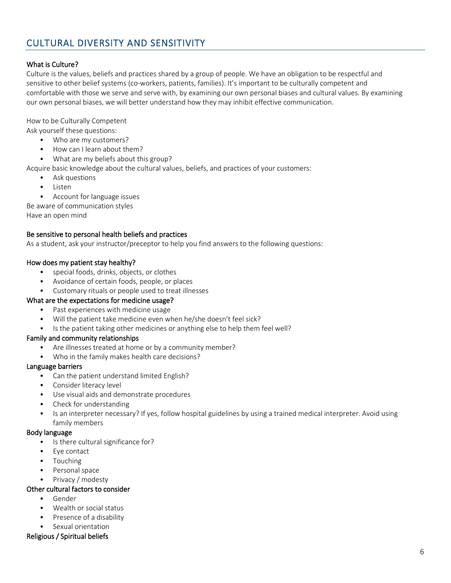### <span id="page-5-0"></span>CULTURAL DIVERSITY AND SENSITIVITY

#### What is Culture?

Culture is the values, beliefs and practices shared by a group of people. We have an obligation to be respectful and sensitive to other belief systems (co-workers, patients, families). It's important to be culturally competent and comfortable with those we serve and serve with, by examining our own personal biases and cultural values. By examining our own personal biases, we will better understand how they may inhibit effective communication.

#### How to be Culturally Competent

Ask yourself these questions:

- Who are my customers?
- How can I learn about them?
- What are my beliefs about this group?
- Acquire basic knowledge about the cultural values, beliefs, and practices of your customers:
	- Ask questions
		- Listen
	- Account for language issues

Be aware of communication styles

Have an open mind

#### Be sensitive to personal health beliefs and practices

As a student, ask your instructor/preceptor to help you find answers to the following questions:

#### How does my patient stay healthy?

- special foods, drinks, objects, or clothes
- Avoidance of certain foods, people, or places
- Customary rituals or people used to treat illnesses

#### What are the expectations for medicine usage?

- Past experiences with medicine usage
- Will the patient take medicine even when he/she doesn't feel sick?
- Is the patient taking other medicines or anything else to help them feel well?

#### Family and community relationships

- Are illnesses treated at home or by a community member?
- Who in the family makes health care decisions?

#### Language barriers

- Can the patient understand limited English?
- Consider literacy level
- Use visual aids and demonstrate procedures
- Check for understanding
- Is an interpreter necessary? If yes, follow hospital guidelines by using a trained medical interpreter. Avoid using family members

#### Body language

- Is there cultural significance for?
- Eye contact
- **Touching**
- Personal space
- Privacy / modesty

#### Other cultural factors to consider

- Gender
- Wealth or social status
- Presence of a disability
- Sexual orientation

#### Religious / Spiritual beliefs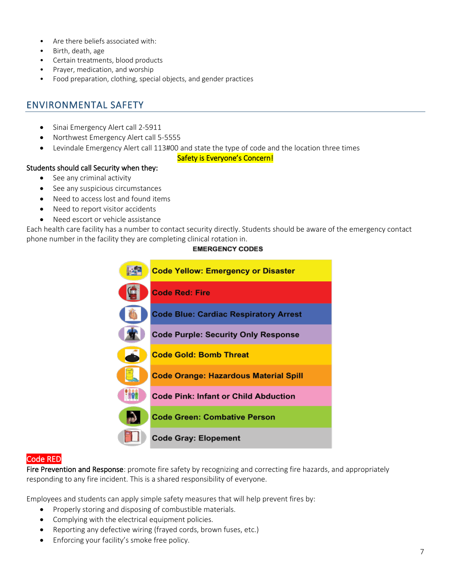- Are there beliefs associated with:
- Birth, death, age
- Certain treatments, blood products
- Prayer, medication, and worship
- Food preparation, clothing, special objects, and gender practices

### <span id="page-6-0"></span>ENVIRONMENTAL SAFETY

- Sinai Emergency Alert call 2-5911
- Northwest Emergency Alert call 5-5555
- Levindale Emergency Alert call 113#00 and state the type of code and the location three times

#### Safety is Everyone's Concern!

#### Students should call Security when they:

- See any criminal activity
- See any suspicious circumstances
- Need to access lost and found items
- Need to report visitor accidents
- Need escort or vehicle assistance

Each health care facility has a number to contact security directly. Students should be aware of the emergency contact phone number in the facility they are completing clinical rotation in.

#### **EMERGENCY CODES**



#### Code RED

Fire Prevention and Response: promote fire safety by recognizing and correcting fire hazards, and appropriately responding to any fire incident. This is a shared responsibility of everyone.

Employees and students can apply simple safety measures that will help prevent fires by:

- Properly storing and disposing of combustible materials.
- Complying with the electrical equipment policies.
- Reporting any defective wiring (frayed cords, brown fuses, etc.)
- Enforcing your facility's smoke free policy.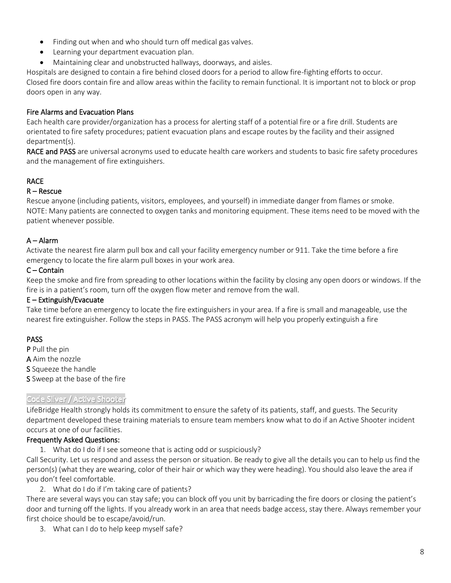- Finding out when and who should turn off medical gas valves.
- Learning your department evacuation plan.
- Maintaining clear and unobstructed hallways, doorways, and aisles.

Hospitals are designed to contain a fire behind closed doors for a period to allow fire-fighting efforts to occur. Closed fire doors contain fire and allow areas within the facility to remain functional. It is important not to block or prop doors open in any way.

#### Fire Alarms and Evacuation Plans

Each health care provider/organization has a process for alerting staff of a potential fire or a fire drill. Students are orientated to fire safety procedures; patient evacuation plans and escape routes by the facility and their assigned department(s).

RACE and PASS are universal acronyms used to educate health care workers and students to basic fire safety procedures and the management of fire extinguishers.

#### RACE

#### R – Rescue

Rescue anyone (including patients, visitors, employees, and yourself) in immediate danger from flames or smoke. NOTE: Many patients are connected to oxygen tanks and monitoring equipment. These items need to be moved with the patient whenever possible.

#### A – Alarm

Activate the nearest fire alarm pull box and call your facility emergency number or 911. Take the time before a fire emergency to locate the fire alarm pull boxes in your work area.

#### C – Contain

Keep the smoke and fire from spreading to other locations within the facility by closing any open doors or windows. If the fire is in a patient's room, turn off the oxygen flow meter and remove from the wall.

#### E – Extinguish/Evacuate

Take time before an emergency to locate the fire extinguishers in your area. If a fire is small and manageable, use the nearest fire extinguisher. Follow the steps in PASS. The PASS acronym will help you properly extinguish a fire

#### PASS

- P Pull the pin
- A Aim the nozzle
- S Squeeze the handle
- S Sweep at the base of the fire

#### Code Silver / Active Shooter

LifeBridge Health strongly holds its commitment to ensure the safety of its patients, staff, and guests. The Security department developed these training materials to ensure team members know what to do if an Active Shooter incident occurs at one of our facilities.

#### Frequently Asked Questions:

1. What do I do if I see someone that is acting odd or suspiciously?

Call Security. Let us respond and assess the person or situation. Be ready to give all the details you can to help us find the person(s) (what they are wearing, color of their hair or which way they were heading). You should also leave the area if you don't feel comfortable.

2. What do I do if I'm taking care of patients?

There are several ways you can stay safe; you can block off you unit by barricading the fire doors or closing the patient's door and turning off the lights. If you already work in an area that needs badge access, stay there. Always remember your first choice should be to escape/avoid/run.

3. What can I do to help keep myself safe?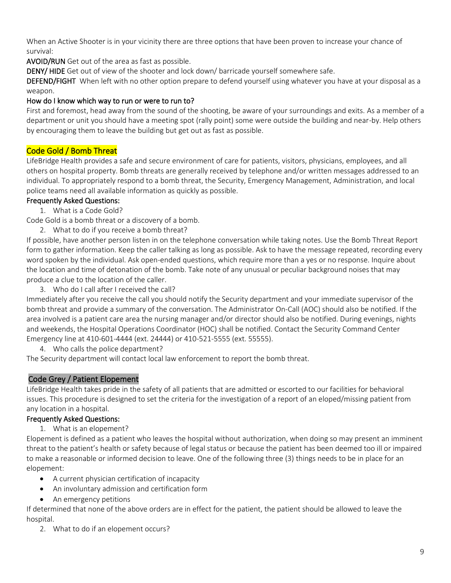When an Active Shooter is in your vicinity there are three options that have been proven to increase your chance of survival:

AVOID/RUN Get out of the area as fast as possible.

DENY/ HIDE Get out of view of the shooter and lock down/ barricade yourself somewhere safe.

DEFEND/FIGHT When left with no other option prepare to defend yourself using whatever you have at your disposal as a weapon.

#### How do I know which way to run or were to run to?

First and foremost, head away from the sound of the shooting, be aware of your surroundings and exits. As a member of a department or unit you should have a meeting spot (rally point) some were outside the building and near-by. Help others by encouraging them to leave the building but get out as fast as possible.

#### Code Gold / Bomb Threat

LifeBridge Health provides a safe and secure environment of care for patients, visitors, physicians, employees, and all others on hospital property. Bomb threats are generally received by telephone and/or written messages addressed to an individual. To appropriately respond to a bomb threat, the Security, Emergency Management, Administration, and local police teams need all available information as quickly as possible.

#### Frequently Asked Questions:

1. What is a Code Gold?

Code Gold is a bomb threat or a discovery of a bomb.

2. What to do if you receive a bomb threat?

If possible, have another person listen in on the telephone conversation while taking notes. Use the Bomb Threat Report form to gather information. Keep the caller talking as long as possible. Ask to have the message repeated, recording every word spoken by the individual. Ask open-ended questions, which require more than a yes or no response. Inquire about the location and time of detonation of the bomb. Take note of any unusual or peculiar background noises that may produce a clue to the location of the caller.

3. Who do I call after I received the call?

Immediately after you receive the call you should notify the Security department and your immediate supervisor of the bomb threat and provide a summary of the conversation. The Administrator On-Call (AOC) should also be notified. If the area involved is a patient care area the nursing manager and/or director should also be notified. During evenings, nights and weekends, the Hospital Operations Coordinator (HOC) shall be notified. Contact the Security Command Center Emergency line at 410-601-4444 (ext. 24444) or 410-521-5555 (ext. 55555).

4. Who calls the police department?

The Security department will contact local law enforcement to report the bomb threat.

#### Code Grey / Patient Elopement

LifeBridge Health takes pride in the safety of all patients that are admitted or escorted to our facilities for behavioral issues. This procedure is designed to set the criteria for the investigation of a report of an eloped/missing patient from any location in a hospital.

#### Frequently Asked Questions:

1. What is an elopement?

Elopement is defined as a patient who leaves the hospital without authorization, when doing so may present an imminent threat to the patient's health or safety because of legal status or because the patient has been deemed too ill or impaired to make a reasonable or informed decision to leave. One of the following three (3) things needs to be in place for an elopement:

- A current physician certification of incapacity
- An involuntary admission and certification form
- An emergency petitions

If determined that none of the above orders are in effect for the patient, the patient should be allowed to leave the hospital.

2. What to do if an elopement occurs?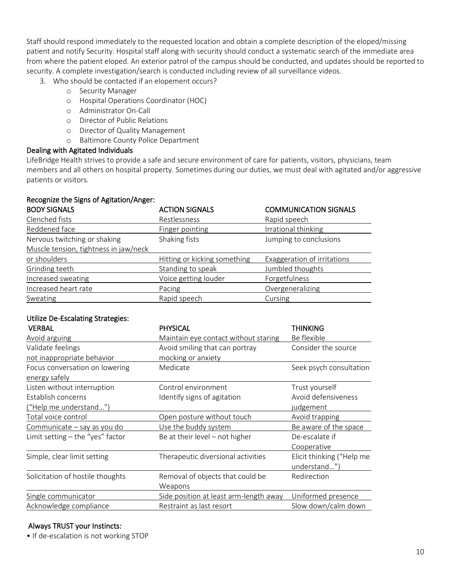Staff should respond immediately to the requested location and obtain a complete description of the eloped/missing patient and notify Security. Hospital staff along with security should conduct a systematic search of the immediate area from where the patient eloped. An exterior patrol of the campus should be conducted, and updates should be reported to security. A complete investigation/search is conducted including review of all surveillance videos.

3. Who should be contacted if an elopement occurs?

- o Security Manager
- o Hospital Operations Coordinator (HOC)
- o Administrator On-Call
- o Director of Public Relations
- o Director of Quality Management
- o Baltimore County Police Department

#### Dealing with Agitated Individuals

LifeBridge Health strives to provide a safe and secure environment of care for patients, visitors, physicians, team members and all others on hospital property. Sometimes during our duties, we must deal with agitated and/or aggressive patients or visitors.

#### Recognize the Signs of Agitation/Anger:

| <b>BODY SIGNALS</b>                   | <b>ACTION SIGNALS</b>        | <b>COMMUNICATION SIGNALS</b> |
|---------------------------------------|------------------------------|------------------------------|
| Clenched fists                        | Restlessness                 | Rapid speech                 |
| Reddened face                         | Finger pointing              | Irrational thinking          |
| Nervous twitching or shaking          | Shaking fists                | Jumping to conclusions       |
| Muscle tension, tightness in jaw/neck |                              |                              |
| or shoulders                          | Hitting or kicking something | Exaggeration of irritations  |
| Grinding teeth                        | Standing to speak            | Jumbled thoughts             |
| Increased sweating                    | Voice getting louder         | Forgetfulness                |
| Increased heart rate                  | Pacing                       | Overgeneralizing             |
| Sweating                              | Rapid speech                 | Cursing                      |

# Utilize De-Escalating Strategies:

| <b>PHYSICAL</b>                        | <b>THINKING</b>           |
|----------------------------------------|---------------------------|
| Maintain eye contact without staring   | Be flexible               |
| Avoid smiling that can portray         | Consider the source       |
| mocking or anxiety                     |                           |
| Medicate                               | Seek psych consultation   |
|                                        |                           |
| Control environment                    | Trust yourself            |
| Identify signs of agitation            | Avoid defensiveness       |
|                                        | judgement                 |
| Open posture without touch             | Avoid trapping            |
| Use the buddy system                   | Be aware of the space     |
| Be at their level – not higher         | De-escalate if            |
|                                        | Cooperative               |
| Therapeutic diversional activities     | Elicit thinking ("Help me |
|                                        | understand")              |
| Removal of objects that could be       | Redirection               |
| Weapons                                |                           |
| Side position at least arm-length away | Uniformed presence        |
| Restraint as last resort               | Slow down/calm down       |
|                                        |                           |

#### Always TRUST your Instincts:

• If de-escalation is not working STOP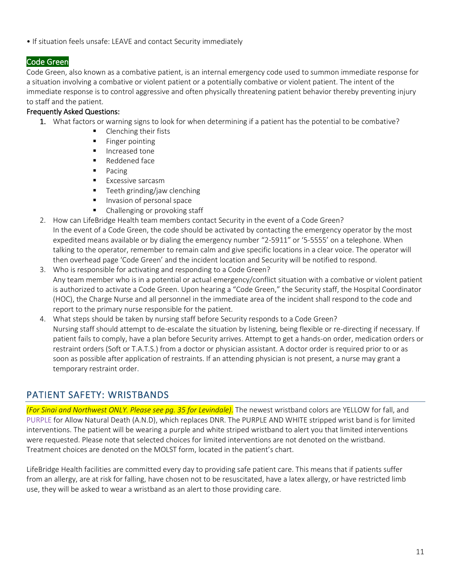• If situation feels unsafe: LEAVE and contact Security immediately

#### Code Green

Code Green, also known as a combative patient, is an internal emergency code used to summon immediate response for a situation involving a combative or violent patient or a potentially combative or violent patient. The intent of the immediate response is to control aggressive and often physically threatening patient behavior thereby preventing injury to staff and the patient.

#### Frequently Asked Questions:

- 1. What factors or warning signs to look for when determining if a patient has the potential to be combative?
	- Clenching their fists
	- Finger pointing
	- Increased tone
	- Reddened face
	- Pacing
	- **Excessive sarcasm**
	- **■** Teeth grinding/jaw clenching
	- Invasion of personal space
	- Challenging or provoking staff
- 2. How can LifeBridge Health team members contact Security in the event of a Code Green?
- In the event of a Code Green, the code should be activated by contacting the emergency operator by the most expedited means available or by dialing the emergency number "2-5911" or '5-5555' on a telephone. When talking to the operator, remember to remain calm and give specific locations in a clear voice. The operator will then overhead page 'Code Green' and the incident location and Security will be notified to respond.
- 3. Who is responsible for activating and responding to a Code Green? Any team member who is in a potential or actual emergency/conflict situation with a combative or violent patient is authorized to activate a Code Green. Upon hearing a "Code Green," the Security staff, the Hospital Coordinator (HOC), the Charge Nurse and all personnel in the immediate area of the incident shall respond to the code and report to the primary nurse responsible for the patient.
- 4. What steps should be taken by nursing staff before Security responds to a Code Green? Nursing staff should attempt to de-escalate the situation by listening, being flexible or re-directing if necessary. If patient fails to comply, have a plan before Security arrives. Attempt to get a hands-on order, medication orders or restraint orders (Soft or T.A.T.S.) from a doctor or physician assistant. A doctor order is required prior to or as soon as possible after application of restraints. If an attending physician is not present, a nurse may grant a temporary restraint order.

### <span id="page-10-0"></span>PATIENT SAFETY: WRISTBANDS

*(For Sinai and Northwest ONLY. Please see pg. 35 for Levindale)*. The newest wristband colors are YELLOW for fall, and PURPLE for Allow Natural Death (A.N.D), which replaces DNR. The PURPLE AND WHITE stripped wrist band is for limited interventions. The patient will be wearing a purple and white striped wristband to alert you that limited interventions were requested. Please note that selected choices for limited interventions are not denoted on the wristband. Treatment choices are denoted on the MOLST form, located in the patient's chart.

LifeBridge Health facilities are committed every day to providing safe patient care. This means that if patients suffer from an allergy, are at risk for falling, have chosen not to be resuscitated, have a latex allergy, or have restricted limb use, they will be asked to wear a wristband as an alert to those providing care.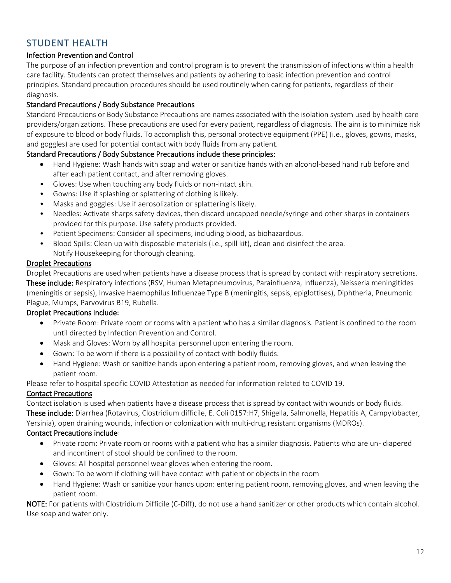### <span id="page-11-0"></span>STUDENT HEALTH

#### Infection Prevention and Control

The purpose of an infection prevention and control program is to prevent the transmission of infections within a health care facility. Students can protect themselves and patients by adhering to basic infection prevention and control principles. Standard precaution procedures should be used routinely when caring for patients, regardless of their diagnosis.

#### Standard Precautions / Body Substance Precautions

Standard Precautions or Body Substance Precautions are names associated with the isolation system used by health care providers/organizations. These precautions are used for every patient, regardless of diagnosis. The aim is to minimize risk of exposure to blood or body fluids. To accomplish this, personal protective equipment (PPE) (i.e., gloves, gowns, masks, and goggles) are used for potential contact with body fluids from any patient.

#### Standard Precautions / Body Substance Precautions include these principles:

- Hand Hygiene: Wash hands with soap and water or sanitize hands with an alcohol-based hand rub before and after each patient contact, and after removing gloves.
- Gloves: Use when touching any body fluids or non-intact skin.
- Gowns: Use if splashing or splattering of clothing is likely.
- Masks and goggles: Use if aerosolization or splattering is likely.
- Needles: Activate sharps safety devices, then discard uncapped needle/syringe and other sharps in containers provided for this purpose. Use safety products provided.
- Patient Specimens: Consider all specimens, including blood, as biohazardous.
- Blood Spills: Clean up with disposable materials (i.e., spill kit), clean and disinfect the area. Notify Housekeeping for thorough cleaning.

#### Droplet Precautions

Droplet Precautions are used when patients have a disease process that is spread by contact with respiratory secretions. These include: Respiratory infections (RSV, Human Metapneumovirus, Parainfluenza, Influenza), Neisseria meningitides (meningitis or sepsis), Invasive Haemophilus Influenzae Type B (meningitis, sepsis, epiglottises), Diphtheria, Pneumonic Plague, Mumps, Parvovirus B19, Rubella.

#### Droplet Precautions include:

- Private Room: Private room or rooms with a patient who has a similar diagnosis. Patient is confined to the room until directed by Infection Prevention and Control.
- Mask and Gloves: Worn by all hospital personnel upon entering the room.
- Gown: To be worn if there is a possibility of contact with bodily fluids.
- Hand Hygiene: Wash or sanitize hands upon entering a patient room, removing gloves, and when leaving the patient room.

Please refer to hospital specific COVID Attestation as needed for information related to COVID 19.

#### Contact Precautions

Contact isolation is used when patients have a disease process that is spread by contact with wounds or body fluids. These include: Diarrhea (Rotavirus, Clostridium difficile, E. Coli 0157:H7, Shigella, Salmonella, Hepatitis A, Campylobacter, Yersinia), open draining wounds, infection or colonization with multi-drug resistant organisms (MDROs).

#### Contact Precautions include:

- Private room: Private room or rooms with a patient who has a similar diagnosis. Patients who are un- diapered and incontinent of stool should be confined to the room.
- Gloves: All hospital personnel wear gloves when entering the room.
- Gown: To be worn if clothing will have contact with patient or objects in the room
- Hand Hygiene: Wash or sanitize your hands upon: entering patient room, removing gloves, and when leaving the patient room.

NOTE: For patients with Clostridium Difficile (C-Diff), do not use a hand sanitizer or other products which contain alcohol. Use soap and water only.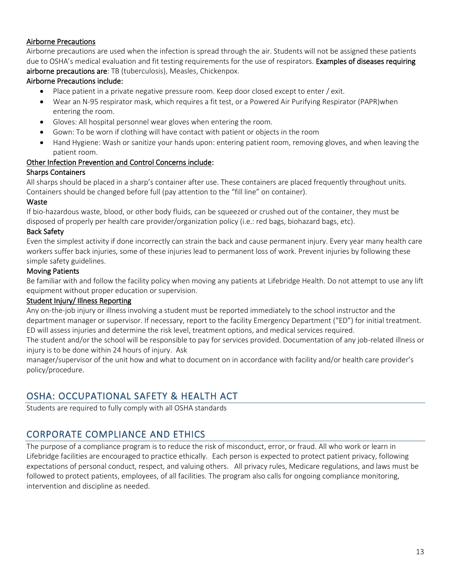#### Airborne Precautions

Airborne precautions are used when the infection is spread through the air. Students will not be assigned these patients due to OSHA's medical evaluation and fit testing requirements for the use of respirators. Examples of diseases requiring airborne precautions are: TB (tuberculosis), Measles, Chickenpox.

#### Airborne Precautions include:

- Place patient in a private negative pressure room. Keep door closed except to enter / exit.
- Wear an N-95 respirator mask, which requires a fit test, or a Powered Air Purifying Respirator (PAPR)when entering the room.
- Gloves: All hospital personnel wear gloves when entering the room.
- Gown: To be worn if clothing will have contact with patient or objects in the room
- Hand Hygiene: Wash or sanitize your hands upon: entering patient room, removing gloves, and when leaving the patient room.

#### Other Infection Prevention and Control Concerns include:

#### Sharps Containers

All sharps should be placed in a sharp's container after use. These containers are placed frequently throughout units. Containers should be changed before full (pay attention to the "fill line" on container).

#### Waste

If bio-hazardous waste, blood, or other body fluids, can be squeezed or crushed out of the container, they must be disposed of properly per health care provider/organization policy (i.e.: red bags, biohazard bags, etc).

#### Back Safety

Even the simplest activity if done incorrectly can strain the back and cause permanent injury. Every year many health care workers suffer back injuries, some of these injuries lead to permanent loss of work. Prevent injuries by following these simple safety guidelines.

#### Moving Patients

Be familiar with and follow the facility policy when moving any patients at Lifebridge Health. Do not attempt to use any lift equipment without proper education or supervision.

#### Student Injury/ Illness Reporting

Any on-the-job injury or illness involving a student must be reported immediately to the school instructor and the department manager or supervisor. If necessary, report to the facility Emergency Department ("ED") for initial treatment. ED will assess injuries and determine the risk level, treatment options, and medical services required.

The student and/or the school will be responsible to pay for services provided. Documentation of any job-related illness or injury is to be done within 24 hours of injury. Ask

manager/supervisor of the unit how and what to document on in accordance with facility and/or health care provider's policy/procedure.

### <span id="page-12-0"></span>OSHA: OCCUPATIONAL SAFETY & HEALTH ACT

<span id="page-12-1"></span>Students are required to fully comply with all OSHA standards

# CORPORATE COMPLIANCE AND ETHICS

The purpose of a compliance program is to reduce the risk of misconduct, error, or fraud. All who work or learn in Lifebridge facilities are encouraged to practice ethically. Each person is expected to protect patient privacy, following expectations of personal conduct, respect, and valuing others. All privacy rules, Medicare regulations, and laws must be followed to protect patients, employees, of all facilities. The program also calls for ongoing compliance monitoring, intervention and discipline as needed.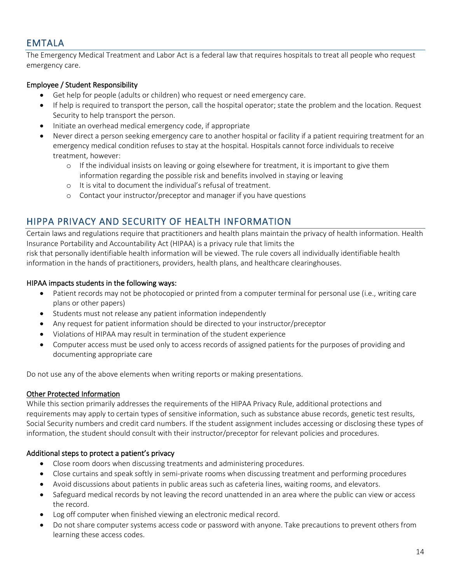### <span id="page-13-0"></span>EMTALA

The Emergency Medical Treatment and Labor Act is a federal law that requires hospitals to treat all people who request emergency care.

#### Employee / Student Responsibility

- Get help for people (adults or children) who request or need emergency care.
- If help is required to transport the person, call the hospital operator; state the problem and the location. Request Security to help transport the person.
- Initiate an overhead medical emergency code, if appropriate
- Never direct a person seeking emergency care to another hospital or facility if a patient requiring treatment for an emergency medical condition refuses to stay at the hospital. Hospitals cannot force individuals to receive treatment, however:
	- o If the individual insists on leaving or going elsewhere for treatment, it is important to give them information regarding the possible risk and benefits involved in staying or leaving
	- o It is vital to document the individual's refusal of treatment.
	- o Contact your instructor/preceptor and manager if you have questions

### <span id="page-13-1"></span>HIPPA PRIVACY AND SECURITY OF HEALTH INFORMATION

Certain laws and regulations require that practitioners and health plans maintain the privacy of health information. Health Insurance Portability and Accountability Act (HIPAA) is a privacy rule that limits the

risk that personally identifiable health information will be viewed. The rule covers all individually identifiable health information in the hands of practitioners, providers, health plans, and healthcare clearinghouses.

#### HIPAA impacts students in the following ways:

- Patient records may not be photocopied or printed from a computer terminal for personal use (i.e., writing care plans or other papers)
- Students must not release any patient information independently
- Any request for patient information should be directed to your instructor/preceptor
- Violations of HIPAA may result in termination of the student experience
- Computer access must be used only to access records of assigned patients for the purposes of providing and documenting appropriate care

Do not use any of the above elements when writing reports or making presentations.

#### Other Protected Information

While this section primarily addresses the requirements of the HIPAA Privacy Rule, additional protections and requirements may apply to certain types of sensitive information, such as substance abuse records, genetic test results, Social Security numbers and credit card numbers. If the student assignment includes accessing or disclosing these types of information, the student should consult with their instructor/preceptor for relevant policies and procedures.

#### Additional steps to protect a patient's privacy

- Close room doors when discussing treatments and administering procedures.
- Close curtains and speak softly in semi-private rooms when discussing treatment and performing procedures
- Avoid discussions about patients in public areas such as cafeteria lines, waiting rooms, and elevators.
- Safeguard medical records by not leaving the record unattended in an area where the public can view or access the record.
- Log off computer when finished viewing an electronic medical record.
- Do not share computer systems access code or password with anyone. Take precautions to prevent others from learning these access codes.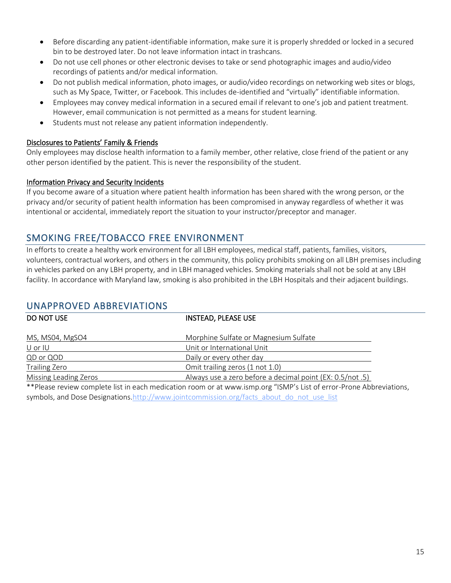- Before discarding any patient-identifiable information, make sure it is properly shredded or locked in a secured bin to be destroyed later. Do not leave information intact in trashcans.
- Do not use cell phones or other electronic devises to take or send photographic images and audio/video recordings of patients and/or medical information.
- Do not publish medical information, photo images, or audio/video recordings on networking web sites or blogs, such as My Space, Twitter, or Facebook. This includes de-identified and "virtually" identifiable information.
- Employees may convey medical information in a secured email if relevant to one's job and patient treatment. However, email communication is not permitted as a means for student learning.
- Students must not release any patient information independently.

#### Disclosures to Patients' Family & Friends

Only employees may disclose health information to a family member, other relative, close friend of the patient or any other person identified by the patient. This is never the responsibility of the student.

#### Information Privacy and Security Incidents

If you become aware of a situation where patient health information has been shared with the wrong person, or the privacy and/or security of patient health information has been compromised in anyway regardless of whether it was intentional or accidental, immediately report the situation to your instructor/preceptor and manager.

### <span id="page-14-0"></span>SMOKING FREE/TOBACCO FREE ENVIRONMENT

In efforts to create a healthy work environment for all LBH employees, medical staff, patients, families, visitors, volunteers, contractual workers, and others in the community, this policy prohibits smoking on all LBH premises including in vehicles parked on any LBH property, and in LBH managed vehicles. Smoking materials shall not be sold at any LBH facility. In accordance with Maryland law, smoking is also prohibited in the LBH Hospitals and their adjacent buildings.

### <span id="page-14-1"></span>UNAPPROVED ABBREVIATIONS

| DO NOT USE                                                                                                           | <b>INSTEAD, PLEASE USE</b>                                |  |  |
|----------------------------------------------------------------------------------------------------------------------|-----------------------------------------------------------|--|--|
|                                                                                                                      |                                                           |  |  |
| MS, MS04, MgSO4                                                                                                      | Morphine Sulfate or Magnesium Sulfate                     |  |  |
| U or IU                                                                                                              | Unit or International Unit                                |  |  |
| QD or QOD                                                                                                            | Daily or every other day                                  |  |  |
| Trailing Zero                                                                                                        | Omit trailing zeros (1 not 1.0)                           |  |  |
| Missing Leading Zeros                                                                                                | Always use a zero before a decimal point (EX: 0.5/not .5) |  |  |
| ** Please review complete list in each medication room or at www.ismp.org "ISMP's List of error-Prone Abbreviations, |                                                           |  |  |
| symbols, and Dose Designations.http://www.jointcommission.org/facts about do not use list                            |                                                           |  |  |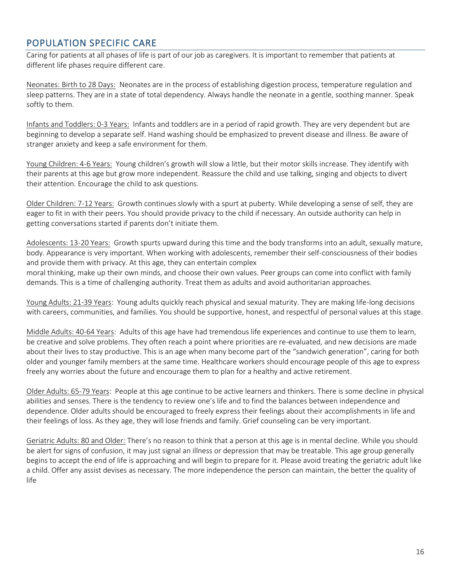### <span id="page-15-0"></span>POPULATION SPECIFIC CARE

Caring for patients at all phases of life is part of our job as caregivers. It is important to remember that patients at different life phases require different care.

Neonates: Birth to 28 Days: Neonates are in the process of establishing digestion process, temperature regulation and sleep patterns. They are in a state of total dependency. Always handle the neonate in a gentle, soothing manner. Speak softly to them.

Infants and Toddlers: 0-3 Years: Infants and toddlers are in a period of rapid growth. They are very dependent but are beginning to develop a separate self. Hand washing should be emphasized to prevent disease and illness. Be aware of stranger anxiety and keep a safe environment for them.

Young Children: 4-6 Years: Young children's growth will slow a little, but their motor skills increase. They identify with their parents at this age but grow more independent. Reassure the child and use talking, singing and objects to divert their attention. Encourage the child to ask questions.

Older Children: 7-12 Years: Growth continues slowly with a spurt at puberty. While developing a sense of self, they are eager to fit in with their peers. You should provide privacy to the child if necessary. An outside authority can help in getting conversations started if parents don't initiate them.

Adolescents: 13-20 Years: Growth spurts upward during this time and the body transforms into an adult, sexually mature, body. Appearance is very important. When working with adolescents, remember their self-consciousness of their bodies and provide them with privacy. At this age, they can entertain complex

moral thinking, make up their own minds, and choose their own values. Peer groups can come into conflict with family demands. This is a time of challenging authority. Treat them as adults and avoid authoritarian approaches.

Young Adults: 21-39 Years: Young adults quickly reach physical and sexual maturity. They are making life-long decisions with careers, communities, and families. You should be supportive, honest, and respectful of personal values at this stage.

Middle Adults: 40-64 Years: Adults of this age have had tremendous life experiences and continue to use them to learn, be creative and solve problems. They often reach a point where priorities are re-evaluated, and new decisions are made about their lives to stay productive. This is an age when many become part of the "sandwich generation", caring for both older and younger family members at the same time. Healthcare workers should encourage people of this age to express freely any worries about the future and encourage them to plan for a healthy and active retirement.

Older Adults: 65-79 Years: People at this age continue to be active learners and thinkers. There is some decline in physical abilities and senses. There is the tendency to review one's life and to find the balances between independence and dependence. Older adults should be encouraged to freely express their feelings about their accomplishments in life and their feelings of loss. As they age, they will lose friends and family. Grief counseling can be very important.

Geriatric Adults: 80 and Older: There's no reason to think that a person at this age is in mental decline. While you should be alert for signs of confusion, it may just signal an illness or depression that may be treatable. This age group generally begins to accept the end of life is approaching and will begin to prepare for it. Please avoid treating the geriatric adult like a child. Offer any assist devises as necessary. The more independence the person can maintain, the better the quality of life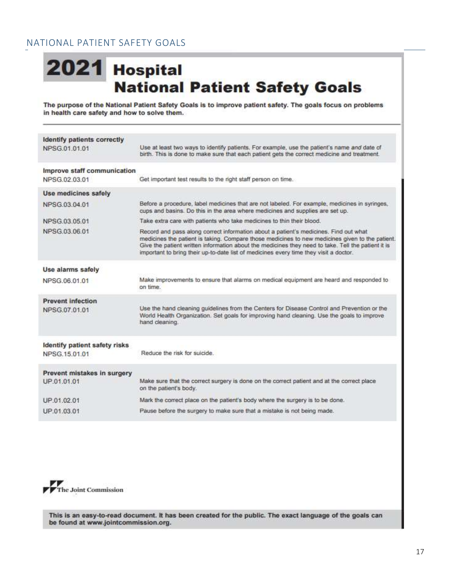# <span id="page-16-0"></span>2021 Hospital **National Patient Safety Goals**

The purpose of the National Patient Safety Goals is to improve patient safety. The goals focus on problems in health care safety and how to solve them.

| <b>Identify patients correctly</b> |                                                                                                                                                                                                                                                                                                                                                                                        |
|------------------------------------|----------------------------------------------------------------------------------------------------------------------------------------------------------------------------------------------------------------------------------------------------------------------------------------------------------------------------------------------------------------------------------------|
| NPSG.01.01.01                      | Use at least two ways to identify patients. For example, use the patient's name and date of<br>birth. This is done to make sure that each patient gets the correct medicine and treatment.                                                                                                                                                                                             |
| Improve staff communication        |                                                                                                                                                                                                                                                                                                                                                                                        |
| NPSG 02 03 01                      | Get important test results to the right staff person on time.                                                                                                                                                                                                                                                                                                                          |
| Use medicines safely               |                                                                                                                                                                                                                                                                                                                                                                                        |
| NPSG 03.04.01                      | Before a procedure, label medicines that are not labeled. For example, medicines in syringes,<br>cups and basins. Do this in the area where medicines and supplies are set up.                                                                                                                                                                                                         |
| NPSG 03 05 01                      | Take extra care with patients who take medicines to thin their blood.                                                                                                                                                                                                                                                                                                                  |
| NPSG.03.06.01                      | Record and pass along correct information about a patient's medicines. Find out what<br>medicines the patient is taking. Compare those medicines to new medicines given to the patient.<br>Give the patient written information about the medicines they need to take. Tell the patient it is<br>important to bring their up-to-date list of medicines every time they visit a doctor. |
| Use alarms safely                  |                                                                                                                                                                                                                                                                                                                                                                                        |
| NPSG 06 01 01                      | Make improvements to ensure that alarms on medical equipment are heard and responded to<br>on time.                                                                                                                                                                                                                                                                                    |
| <b>Prevent infection</b>           |                                                                                                                                                                                                                                                                                                                                                                                        |
| NPSG 07 01 01                      | Use the hand cleaning guidelines from the Centers for Disease Control and Prevention or the<br>World Health Organization. Set goals for improving hand cleaning. Use the goals to improve<br>hand cleaning.                                                                                                                                                                            |
| Identify patient safety risks      |                                                                                                                                                                                                                                                                                                                                                                                        |
| NPSG.15.01.01                      | Reduce the risk for suicide                                                                                                                                                                                                                                                                                                                                                            |
| Prevent mistakes in surgery        |                                                                                                                                                                                                                                                                                                                                                                                        |
| UP.01.01.01                        | Make sure that the correct surgery is done on the correct patient and at the correct place<br>on the patient's body.                                                                                                                                                                                                                                                                   |
| UP.01.02.01                        | Mark the correct place on the patient's body where the surgery is to be done.                                                                                                                                                                                                                                                                                                          |
| UP.01.03.01                        | Pause before the surgery to make sure that a mistake is not being made.                                                                                                                                                                                                                                                                                                                |
|                                    |                                                                                                                                                                                                                                                                                                                                                                                        |



This is an easy-to-read document. It has been created for the public. The exact language of the goals can be found at www.jointcommission.org.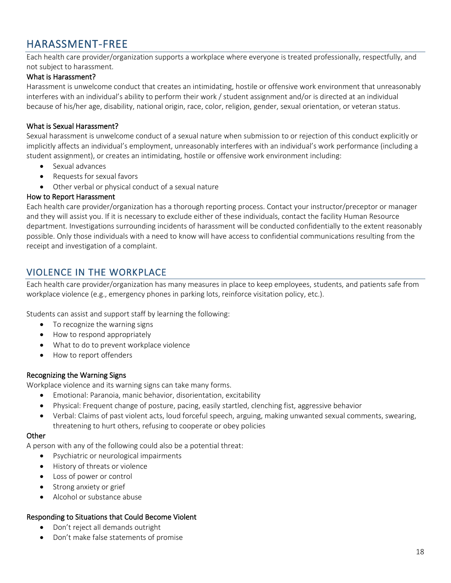# <span id="page-17-0"></span>HARASSMENT-FREE

Each health care provider/organization supports a workplace where everyone is treated professionally, respectfully, and not subject to harassment.

#### What is Harassment?

Harassment is unwelcome conduct that creates an intimidating, hostile or offensive work environment that unreasonably interferes with an individual's ability to perform their work / student assignment and/or is directed at an individual because of his/her age, disability, national origin, race, color, religion, gender, sexual orientation, or veteran status.

#### What is Sexual Harassment?

Sexual harassment is unwelcome conduct of a sexual nature when submission to or rejection of this conduct explicitly or implicitly affects an individual's employment, unreasonably interferes with an individual's work performance (including a student assignment), or creates an intimidating, hostile or offensive work environment including:

- Sexual advances
- Requests for sexual favors
- Other verbal or physical conduct of a sexual nature

#### How to Report Harassment

Each health care provider/organization has a thorough reporting process. Contact your instructor/preceptor or manager and they will assist you. If it is necessary to exclude either of these individuals, contact the facility Human Resource department. Investigations surrounding incidents of harassment will be conducted confidentially to the extent reasonably possible. Only those individuals with a need to know will have access to confidential communications resulting from the receipt and investigation of a complaint.

### <span id="page-17-1"></span>VIOLENCE IN THE WORKPLACE

Each health care provider/organization has many measures in place to keep employees, students, and patients safe from workplace violence (e.g., emergency phones in parking lots, reinforce visitation policy, etc.).

Students can assist and support staff by learning the following:

- To recognize the warning signs
- How to respond appropriately
- What to do to prevent workplace violence
- How to report offenders

#### Recognizing the Warning Signs

Workplace violence and its warning signs can take many forms.

- Emotional: Paranoia, manic behavior, disorientation, excitability
- Physical: Frequent change of posture, pacing, easily startled, clenching fist, aggressive behavior
- Verbal: Claims of past violent acts, loud forceful speech, arguing, making unwanted sexual comments, swearing, threatening to hurt others, refusing to cooperate or obey policies

#### **Other**

A person with any of the following could also be a potential threat:

- Psychiatric or neurological impairments
- History of threats or violence
- Loss of power or control
- Strong anxiety or grief
- Alcohol or substance abuse

#### Responding to Situations that Could Become Violent

- Don't reject all demands outright
- Don't make false statements of promise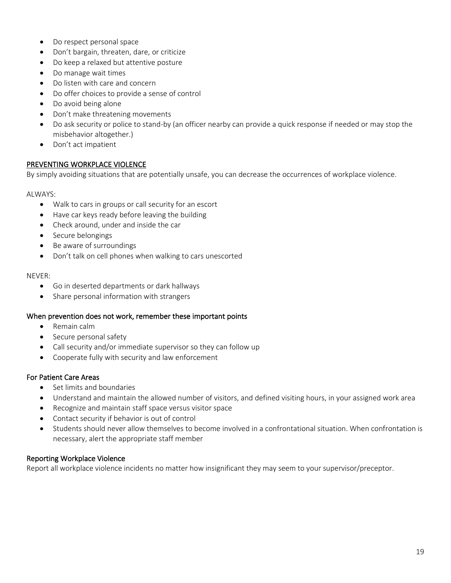- Do respect personal space
- Don't bargain, threaten, dare, or criticize
- Do keep a relaxed but attentive posture
- Do manage wait times
- Do listen with care and concern
- Do offer choices to provide a sense of control
- Do avoid being alone
- Don't make threatening movements
- Do ask security or police to stand-by (an officer nearby can provide a quick response if needed or may stop the misbehavior altogether.)
- Don't act impatient

#### PREVENTING WORKPLACE VIOLENCE

By simply avoiding situations that are potentially unsafe, you can decrease the occurrences of workplace violence.

#### ALWAYS:

- Walk to cars in groups or call security for an escort
- Have car keys ready before leaving the building
- Check around, under and inside the car
- Secure belongings
- Be aware of surroundings
- Don't talk on cell phones when walking to cars unescorted

#### NEVER:

- Go in deserted departments or dark hallways
- Share personal information with strangers

#### When prevention does not work, remember these important points

- Remain calm
- Secure personal safety
- Call security and/or immediate supervisor so they can follow up
- Cooperate fully with security and law enforcement

#### For Patient Care Areas

- Set limits and boundaries
- Understand and maintain the allowed number of visitors, and defined visiting hours, in your assigned work area
- Recognize and maintain staff space versus visitor space
- Contact security if behavior is out of control
- Students should never allow themselves to become involved in a confrontational situation. When confrontation is necessary, alert the appropriate staff member

#### Reporting Workplace Violence

Report all workplace violence incidents no matter how insignificant they may seem to your supervisor/preceptor.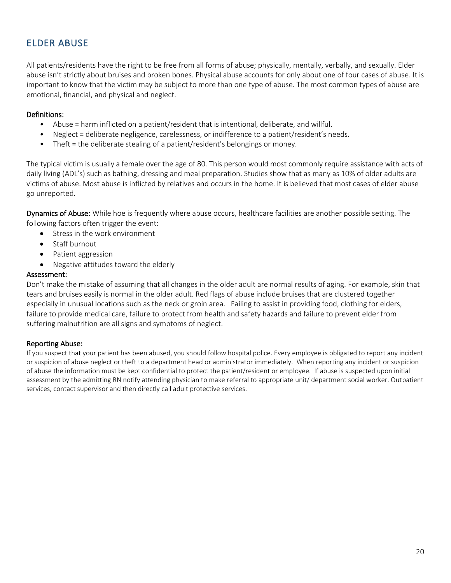### <span id="page-19-0"></span>ELDER ABUSE

All patients/residents have the right to be free from all forms of abuse; physically, mentally, verbally, and sexually. Elder abuse isn't strictly about bruises and broken bones. Physical abuse accounts for only about one of four cases of abuse. It is important to know that the victim may be subject to more than one type of abuse. The most common types of abuse are emotional, financial, and physical and neglect.

#### Definitions:

- Abuse = harm inflicted on a patient/resident that is intentional, deliberate, and willful.
- Neglect = deliberate negligence, carelessness, or indifference to a patient/resident's needs.
- Theft = the deliberate stealing of a patient/resident's belongings or money.

The typical victim is usually a female over the age of 80. This person would most commonly require assistance with acts of daily living (ADL's) such as bathing, dressing and meal preparation. Studies show that as many as 10% of older adults are victims of abuse. Most abuse is inflicted by relatives and occurs in the home. It is believed that most cases of elder abuse go unreported.

Dynamics of Abuse: While hoe is frequently where abuse occurs, healthcare facilities are another possible setting. The following factors often trigger the event:

- Stress in the work environment
- Staff burnout
- Patient aggression
- Negative attitudes toward the elderly

#### Assessment:

Don't make the mistake of assuming that all changes in the older adult are normal results of aging. For example, skin that tears and bruises easily is normal in the older adult. Red flags of abuse include bruises that are clustered together especially in unusual locations such as the neck or groin area. Failing to assist in providing food, clothing for elders, failure to provide medical care, failure to protect from health and safety hazards and failure to prevent elder from suffering malnutrition are all signs and symptoms of neglect.

#### Reporting Abuse:

If you suspect that your patient has been abused, you should follow hospital police. Every employee is obligated to report any incident or suspicion of abuse neglect or theft to a department head or administrator immediately. When reporting any incident or suspicion of abuse the information must be kept confidential to protect the patient/resident or employee. If abuse is suspected upon initial assessment by the admitting RN notify attending physician to make referral to appropriate unit/ department social worker. Outpatient services, contact supervisor and then directly call adult protective services.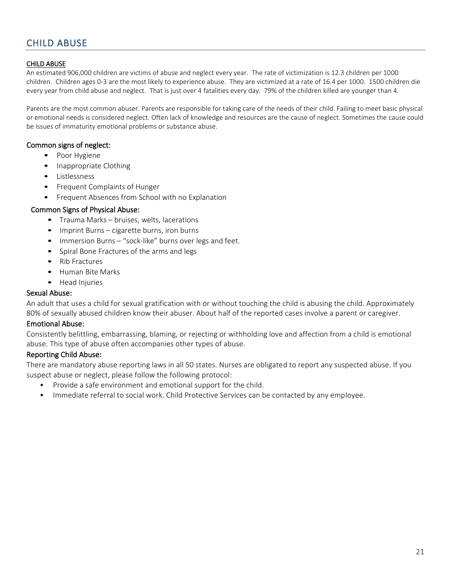#### <span id="page-20-0"></span>CHILD ABUSE

An estimated 906,000 children are victims of abuse and neglect every year. The rate of victimization is 12.3 children per 1000 children. Children ages 0-3 are the most likely to experience abuse. They are victimized at a rate of 16.4 per 1000. 1500 children die every year from child abuse and neglect. That is just over 4 fatalities every day. 79% of the children killed are younger than 4.

Parents are the most common abuser. Parents are responsible for taking care of the needs of their child. Failing to meet basic physical or emotional needs is considered neglect. Often lack of knowledge and resources are the cause of neglect. Sometimes the cause could be issues of immaturity emotional problems or substance abuse.

#### Common signs of neglect:

- Poor Hygiene
- Inappropriate Clothing
- Listlessness
- Frequent Complaints of Hunger
- Frequent Absences from School with no Explanation

#### Common Signs of Physical Abuse:

- Trauma Marks bruises, welts, lacerations
- Imprint Burns cigarette burns, iron burns
- Immersion Burns "sock-like" burns over legs and feet.
- Spiral Bone Fractures of the arms and legs
- Rib Fractures
- Human Bite Marks
- Head Injuries

#### Sexual Abuse:

An adult that uses a child for sexual gratification with or without touching the child is abusing the child. Approximately 80% of sexually abused children know their abuser. About half of the reported cases involve a parent or caregiver.

#### Emotional Abuse:

Consistently belittling, embarrassing, blaming, or rejecting or withholding love and affection from a child is emotional abuse. This type of abuse often accompanies other types of abuse.

#### Reporting Child Abuse:

There are mandatory abuse reporting laws in all 50 states. Nurses are obligated to report any suspected abuse. If you suspect abuse or neglect, please follow the following protocol:

- Provide a safe environment and emotional support for the child.
- Immediate referral to social work. Child Protective Services can be contacted by any employee.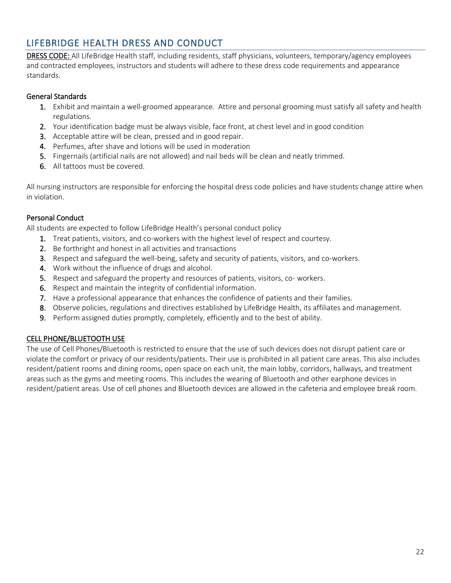### <span id="page-21-0"></span>LIFEBRIDGE HEALTH DRESS AND CONDUCT

DRESS CODE: All LifeBridge Health staff, including residents, staff physicians, volunteers, temporary/agency employees and contracted employees, instructors and students will adhere to these dress code requirements and appearance standards.

#### General Standards

- 1. Exhibit and maintain a well-groomed appearance. Attire and personal grooming must satisfy all safety and health regulations.
- 2. Your identification badge must be always visible, face front, at chest level and in good condition
- 3. Acceptable attire will be clean, pressed and in good repair.
- 4. Perfumes, after shave and lotions will be used in moderation
- 5. Fingernails (artificial nails are not allowed) and nail beds will be clean and neatly trimmed.
- 6. All tattoos must be covered.

All nursing instructors are responsible for enforcing the hospital dress code policies and have students change attire when in violation.

#### Personal Conduct

All students are expected to follow LifeBridge Health's personal conduct policy

- 1. Treat patients, visitors, and co-workers with the highest level of respect and courtesy.
- 2. Be forthright and honest in all activities and transactions
- 3. Respect and safeguard the well-being, safety and security of patients, visitors, and co-workers.
- 4. Work without the influence of drugs and alcohol.
- 5. Respect and safeguard the property and resources of patients, visitors, co- workers.
- 6. Respect and maintain the integrity of confidential information.
- 7. Have a professional appearance that enhances the confidence of patients and their families.
- 8. Observe policies, regulations and directives established by LifeBridge Health, its affiliates and management.
- 9. Perform assigned duties promptly, completely, efficiently and to the best of ability.

#### CELL PHONE/BLUETOOTH USE

The use of Cell Phones/Bluetooth is restricted to ensure that the use of such devices does not disrupt patient care or violate the comfort or privacy of our residents/patients. Their use is prohibited in all patient care areas. This also includes resident/patient rooms and dining rooms, open space on each unit, the main lobby, corridors, hallways, and treatment areas such as the gyms and meeting rooms. This includes the wearing of Bluetooth and other earphone devices in resident/patient areas. Use of cell phones and Bluetooth devices are allowed in the cafeteria and employee break room.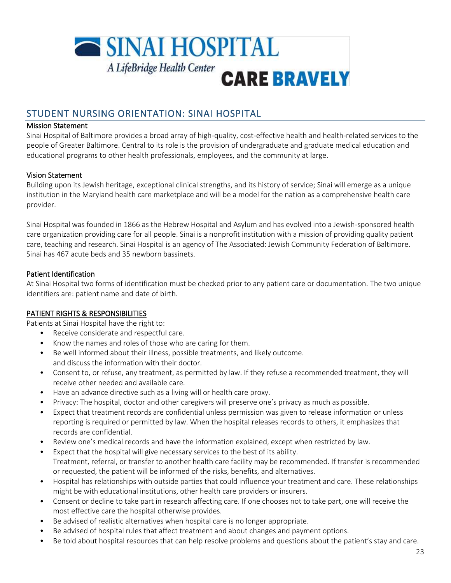

### <span id="page-22-0"></span>STUDENT NURSING ORIENTATION: SINAI HOSPITAL

#### Mission Statement

Sinai Hospital of Baltimore provides a broad array of high-quality, cost-effective health and health-related services to the people of Greater Baltimore. Central to its role is the provision of undergraduate and graduate medical education and educational programs to other health professionals, employees, and the community at large.

#### Vision Statement

Building upon its Jewish heritage, exceptional clinical strengths, and its history of service; Sinai will emerge as a unique institution in the Maryland health care marketplace and will be a model for the nation as a comprehensive health care provider.

Sinai Hospital was founded in 1866 as the Hebrew Hospital and Asylum and has evolved into a Jewish-sponsored health care organization providing care for all people. Sinai is a nonprofit institution with a mission of providing quality patient care, teaching and research. Sinai Hospital is an agency of The Associated: Jewish Community Federation of Baltimore. Sinai has 467 acute beds and 35 newborn bassinets.

#### Patient Identification

At Sinai Hospital two forms of identification must be checked prior to any patient care or documentation. The two unique identifiers are: patient name and date of birth.

#### PATIENT RIGHTS & RESPONSIBILITIES

Patients at Sinai Hospital have the right to:

- Receive considerate and respectful care.
- Know the names and roles of those who are caring for them.
- Be well informed about their illness, possible treatments, and likely outcome. and discuss the information with their doctor.
- Consent to, or refuse, any treatment, as permitted by law. If they refuse a recommended treatment, they will receive other needed and available care.
- Have an advance directive such as a living will or health care proxy.
- Privacy: The hospital, doctor and other caregivers will preserve one's privacy as much as possible.
- Expect that treatment records are confidential unless permission was given to release information or unless reporting is required or permitted by law. When the hospital releases records to others, it emphasizes that records are confidential.
- Review one's medical records and have the information explained, except when restricted by law.
- Expect that the hospital will give necessary services to the best of its ability. Treatment, referral, or transfer to another health care facility may be recommended. If transfer is recommended or requested, the patient will be informed of the risks, benefits, and alternatives.
- Hospital has relationships with outside parties that could influence your treatment and care. These relationships might be with educational institutions, other health care providers or insurers.
- Consent or decline to take part in research affecting care. If one chooses not to take part, one will receive the most effective care the hospital otherwise provides.
- Be advised of realistic alternatives when hospital care is no longer appropriate.
- Be advised of hospital rules that affect treatment and about changes and payment options.
- Be told about hospital resources that can help resolve problems and questions about the patient's stay and care.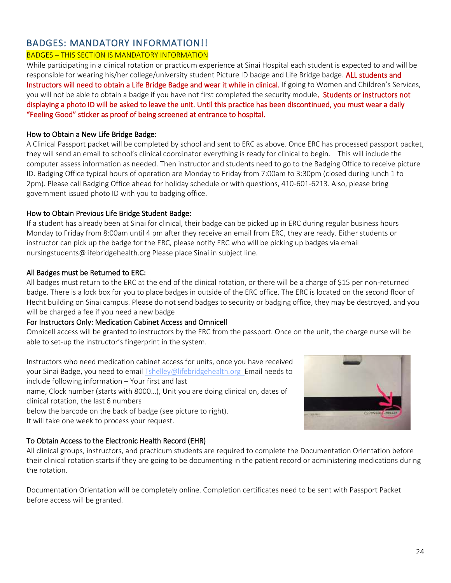### <span id="page-23-0"></span>BADGES: MANDATORY INFORMATION!!

### BADGES – THIS SECTION IS MANDATORY INFORMATION

While participating in a clinical rotation or practicum experience at Sinai Hospital each student is expected to and will be responsible for wearing his/her college/university student Picture ID badge and Life Bridge badge. ALL students and Instructors will need to obtain a Life Bridge Badge and wear it while in clinical. If going to Women and Children's Services, you will not be able to obtain a badge if you have not first completed the security module. Students or instructors not displaying a photo ID will be asked to leave the unit. Until this practice has been discontinued, you must wear a daily "Feeling Good" sticker as proof of being screened at entrance to hospital.

#### How to Obtain a New Life Bridge Badge:

A Clinical Passport packet will be completed by school and sent to ERC as above. Once ERC has processed passport packet, they will send an email to school's clinical coordinator everything is ready for clinical to begin. This will include the computer assess information as needed. Then instructor and students need to go to the Badging Office to receive picture ID. Badging Office typical hours of operation are Monday to Friday from 7:00am to 3:30pm (closed during lunch 1 to 2pm). Please call Badging Office ahead for holiday schedule or with questions, 410-601-6213. Also, please bring government issued photo ID with you to badging office.

#### How to Obtain Previous Life Bridge Student Badge:

If a student has already been at Sinai for clinical, their badge can be picked up in ERC during regular business hours Monday to Friday from 8:00am until 4 pm after they receive an email from ERC, they are ready. Either students or instructor can pick up the badge for the ERC, please notify ERC who will be picking up badges via email nursingstudents@lifebridgehealth.org Please place Sinai in subject line.

#### All Badges must be Returned to ERC:

All badges must return to the ERC at the end of the clinical rotation, or there will be a charge of \$15 per non-returned badge. There is a lock box for you to place badges in outside of the ERC office. The ERC is located on the second floor of Hecht building on Sinai campus. Please do not send badges to security or badging office, they may be destroyed, and you will be charged a fee if you need a new badge

#### For Instructors Only: Medication Cabinet Access and Omnicell

Omnicell access will be granted to instructors by the ERC from the passport. Once on the unit, the charge nurse will be able to set-up the instructor's fingerprint in the system.

Instructors who need medication cabinet access for units, once you have received your Sinai Badge, you need to emai[l Tshelley@lifebridgehealth.org E](mailto:Tshelley@lifebridgehealth.org)mail needs to include following information – Your first and last name, Clock number (starts with 8000…), Unit you are doing clinical on, dates of clinical rotation, the last 6 numbers below the barcode on the back of badge (see picture to right).

It will take one week to process your request.

#### To Obtain Access to the Electronic Health Record (EHR)

All clinical groups, instructors, and practicum students are required to complete the Documentation Orientation before their clinical rotation starts if they are going to be documenting in the patient record or administering medications during the rotation.

Documentation Orientation will be completely online. Completion certificates need to be sent with Passport Packet before access will be granted.

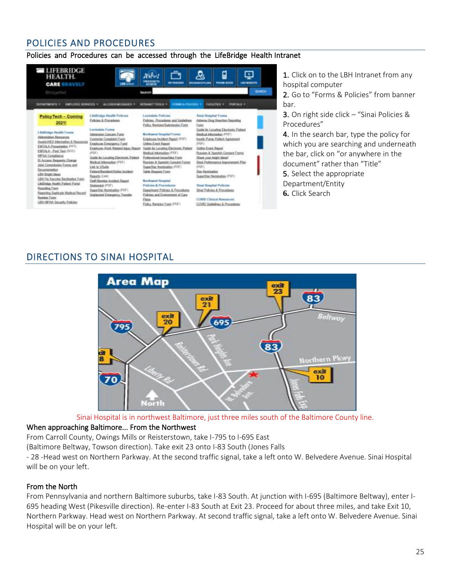### <span id="page-24-0"></span>POLICIES AND PROCEDURES

### Policies and Procedures can be accessed through the LifeBridge Health Intranet

| <b>E MEERRIDGE</b><br><b>HEALTH.</b><br><b>CARE BRAVELY</b><br><b>Elrickberlüst</b>                                                                                                                                                                                                                     | <b>LES JOIN</b>                                                                                                                                                                                                                                                                                                                                 | l'idrott<br><b>HELIOM TO</b><br><b>HE TRACKER</b><br><b>Search</b>                                                                                                                                                                                                                                                          | ⊑<br>$\cdot$ .<br><b>PHONE BILOK</b><br><b>BILLBAAILFLAN</b><br><b>LESS BERNITE</b><br><b>GEARCH</b>                                                                                                                                                                                                                |
|---------------------------------------------------------------------------------------------------------------------------------------------------------------------------------------------------------------------------------------------------------------------------------------------------------|-------------------------------------------------------------------------------------------------------------------------------------------------------------------------------------------------------------------------------------------------------------------------------------------------------------------------------------------------|-----------------------------------------------------------------------------------------------------------------------------------------------------------------------------------------------------------------------------------------------------------------------------------------------------------------------------|---------------------------------------------------------------------------------------------------------------------------------------------------------------------------------------------------------------------------------------------------------------------------------------------------------------------|
| <b>DISTURNS IN HISTORICA</b> W<br><b>CHIMATIMENTS *</b>                                                                                                                                                                                                                                                 | ALLIGER MOSSAGES *                                                                                                                                                                                                                                                                                                                              | <b>INTRANET STICKS =</b><br><b>ROMAN &amp; POLICIES *</b>                                                                                                                                                                                                                                                                   | PORTALS *<br><b>EACETTES V</b>                                                                                                                                                                                                                                                                                      |
|                                                                                                                                                                                                                                                                                                         |                                                                                                                                                                                                                                                                                                                                                 |                                                                                                                                                                                                                                                                                                                             |                                                                                                                                                                                                                                                                                                                     |
| Policy Tech - Coming<br>2021!                                                                                                                                                                                                                                                                           | <b>Likelinings Hoath Pullcies</b><br>Palcies & Pazzadams                                                                                                                                                                                                                                                                                        | Lareitedatio Policitos<br>Palicies, Procedures and Goldeline.<br>Palko/Reitske/Didentesker/Fores                                                                                                                                                                                                                            | Sixual Heupdart Frances<br>Admine Drive Houston Reporting<br>Fam                                                                                                                                                                                                                                                    |
| Likelizidge Health Forres<br>Abbreviator Hexagone<br>Aug/a/HEV Information B. Resources<br>EMTALA Presentation (PPT).<br>EMTALA - Pasi Tast (DOC)<br>HFAA Censiliance<br>15 Access Hegentic Diange<br>Junt Ceneriosian Fierra and<br>Decumentation<br>LEH DIARI Maas<br>LBH Fis Voccine Declisates Fam- | <b>Lavindale Forms</b><br>Adedesian Canzan Form<br>Castomer Constaint Form<br>Ensigned Environment Fund<br>Exployer Work Related Iskes Report<br>(PDF)<br>Guide for Locating Electronic Patient<br>Madical Information (FDF)<br>Link to Vilude<br>PatentResidentVisite: locker)<br><b>Reports Give:</b><br><b>Stuff Member Institute Report</b> | <b>Northwest Respited Forms</b><br>Employee Incident Report (PDF)<br><b>Dolore Event Resent</b><br>Guide for Locating Electronic Patient<br>Madical Information (PDF)<br>Pollopsianal Isaan/Stea Form<br>Research & Search Connect Forms<br>liageritte: Namisation (FOF)<br>Table Request Paint<br><b>Burltweat Hugeist</b> | Guite for Locating Electronic Patient<br>Meshcat totomarker (PDF)<br>Inguile: Purity Purject Agreement<br>drbiry.<br>Online Event Hepott<br>Rossian & Spenish Corport Ferry-<br>Shees: your bright ideas!<br>Sinai, Fretorrance, Improvement, Plan<br>(PDF)<br><b>Star Nomination</b><br>SuperStar Nomination (PDF) |
| Literbridge Health Patient Portal<br><b>Bausday Fass</b><br>Reporting Duplicate Madical Record<br><b>Bandon</b> Form<br><b>J.D.H. Hill Publisher Telephone Telephone</b>                                                                                                                                | <b>Distances</b> (FOF)<br><b>Speechlar Newsvaless (FCF)</b><br>Unglanned Emergetus: Transfer                                                                                                                                                                                                                                                    | <b>Policies &amp; Procedures</b><br>Department Policies & Precedures<br>Parksies and Environment of Care<br>Flora.<br>Pallos Renate Frest (PDF)                                                                                                                                                                             | <b>Bissai Houghtet Pollution</b><br><b>Strait Proficies &amp; Procedures</b><br><b>COVID-Clinical Resources</b><br>COVO Guidelines & Procedures                                                                                                                                                                     |

1. Click on to the LBH Intranet from any hospital computer

2. Go to "Forms & Policies" from banner bar.

3. On right side click – "Sinai Policies & Procedures"

4. In the search bar, type the policy for which you are searching and underneath the bar, click on "or anywhere in the document" rather than "Title"

5. Select the appropriate

Department/Entity

**6.** Click Search

### <span id="page-24-1"></span>DIRECTIONS TO SINAI HOSPITAL



Sinai Hospital is in northwest Baltimore, just three miles south of the Baltimore County line.

### When approaching Baltimore... From the Northwest

From Carroll County, Owings Mills or Reisterstown, take I-795 to I-695 East

(Baltimore Beltway, Towson direction). Take exit 23 onto I-83 South (Jones Falls

- 28 -Head west on Northern Parkway. At the second traffic signal, take a left onto W. Belvedere Avenue. Sinai Hospital will be on your left.

### From the North

From Pennsylvania and northern Baltimore suburbs, take I-83 South. At junction with I-695 (Baltimore Beltway), enter I-695 heading West (Pikesville direction). Re-enter I-83 South at Exit 23. Proceed for about three miles, and take Exit 10, Northern Parkway. Head west on Northern Parkway. At second traffic signal, take a left onto W. Belvedere Avenue. Sinai Hospital will be on your left.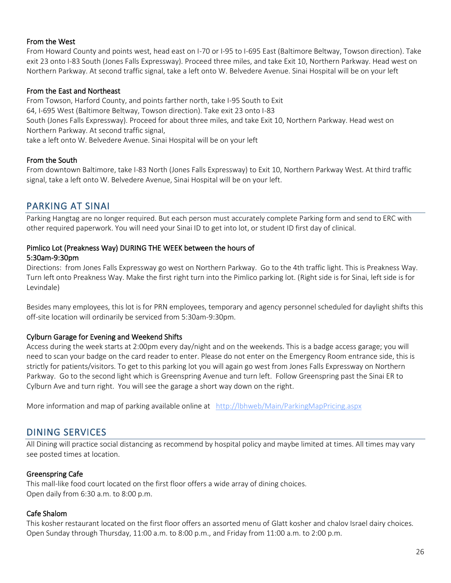#### From the West

From Howard County and points west, head east on I-70 or I-95 to I-695 East (Baltimore Beltway, Towson direction). Take exit 23 onto I-83 South (Jones Falls Expressway). Proceed three miles, and take Exit 10, Northern Parkway. Head west on Northern Parkway. At second traffic signal, take a left onto W. Belvedere Avenue. Sinai Hospital will be on your left

#### From the East and Northeast

From Towson, Harford County, and points farther north, take I-95 South to Exit 64, I-695 West (Baltimore Beltway, Towson direction). Take exit 23 onto I-83 South (Jones Falls Expressway). Proceed for about three miles, and take Exit 10, Northern Parkway. Head west on Northern Parkway. At second traffic signal, take a left onto W. Belvedere Avenue. Sinai Hospital will be on your left

#### From the South

From downtown Baltimore, take I-83 North (Jones Falls Expressway) to Exit 10, Northern Parkway West. At third traffic signal, take a left onto W. Belvedere Avenue, Sinai Hospital will be on your left.

### <span id="page-25-0"></span>PARKING AT SINAI

Parking Hangtag are no longer required. But each person must accurately complete Parking form and send to ERC with other required paperwork. You will need your Sinai ID to get into lot, or student ID first day of clinical.

#### Pimlico Lot (Preakness Way) DURING THE WEEK between the hours of 5:30am-9:30pm

Directions: from Jones Falls Expressway go west on Northern Parkway. Go to the 4th traffic light. This is Preakness Way. Turn left onto Preakness Way. Make the first right turn into the Pimlico parking lot. (Right side is for Sinai, left side is for Levindale)

Besides many employees, this lot is for PRN employees, temporary and agency personnel scheduled for daylight shifts this off-site location will ordinarily be serviced from 5:30am-9:30pm.

#### Cylburn Garage for Evening and Weekend Shifts

Access during the week starts at 2:00pm every day/night and on the weekends. This is a badge access garage; you will need to scan your badge on the card reader to enter. Please do not enter on the Emergency Room entrance side, this is strictly for patients/visitors. To get to this parking lot you will again go west from Jones Falls Expressway on Northern Parkway. Go to the second light which is Greenspring Avenue and turn left. Follow Greenspring past the Sinai ER to Cylburn Ave and turn right. You will see the garage a short way down on the right.

<span id="page-25-1"></span>More information and map of parking available online at <http://lbhweb/Main/ParkingMapPricing.aspx>

### DINING SERVICES

All Dining will practice social distancing as recommend by hospital policy and maybe limited at times. All times may vary see posted times at location.

#### Greenspring Cafe

This mall-like food court located on the first floor offers a wide array of dining choices. Open daily from 6:30 a.m. to 8:00 p.m.

#### Cafe Shalom

This kosher restaurant located on the first floor offers an assorted menu of Glatt kosher and chalov Israel dairy choices. Open Sunday through Thursday, 11:00 a.m. to 8:00 p.m., and Friday from 11:00 a.m. to 2:00 p.m.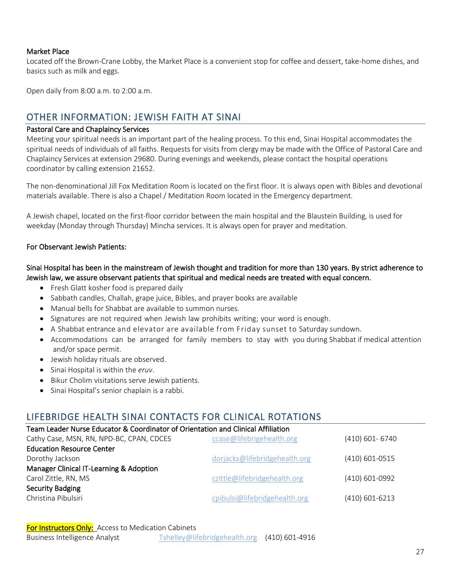#### Market Place

Located off the Brown-Crane Lobby, the Market Place is a convenient stop for coffee and dessert, take-home dishes, and basics such as milk and eggs.

<span id="page-26-0"></span>Open daily from 8:00 a.m. to 2:00 a.m.

### OTHER INFORMATION: JEWISH FAITH AT SINAI

#### Pastoral Care and Chaplaincy Services

Meeting your spiritual needs is an important part of the healing process. To this end, Sinai Hospital accommodates the spiritual needs of individuals of all faiths. Requests for visits from clergy may be made with the Office of Pastoral Care and Chaplaincy Services at extension 29680. During evenings and weekends, please contact the hospital operations coordinator by calling extension 21652.

The non-denominational Jill Fox Meditation Room is located on the first floor. It is always open with Bibles and devotional materials available. There is also a Chapel / Meditation Room located in the Emergency department.

A Jewish chapel, located on the first-floor corridor between the main hospital and the Blaustein Building, is used for weekday (Monday through Thursday) Mincha services. It is always open for prayer and meditation.

#### For Observant Jewish Patients:

#### Sinai Hospital has been in the mainstream of Jewish thought and tradition for more than 130 years. By strict adherence to Jewish law, we assure observant patients that spiritual and medical needs are treated with equal concern.

- Fresh Glatt kosher food is prepared daily
- Sabbath candles, Challah, grape juice, Bibles, and prayer books are available
- Manual bells for Shabbat are available to summon nurses.
- Signatures are not required when Jewish law prohibits writing; your word is enough.
- A Shabbat entrance and elevator are available from Friday sunset to Saturday sundown.
- Accommodations can be arranged for family members to stay with you during Shabbat if medical attention and/or space permit.
- Jewish holiday rituals are observed.
- Sinai Hospital is within the *eruv*.
- Bikur Cholim visitations serve Jewish patients.
- Sinai Hospital's senior chaplain is a rabbi.

#### <span id="page-26-1"></span>LIFEBRIDGE HEALTH SINAI CONTACTS FOR CLINICAL ROTATIONS

| Team Leader Nurse Educator & Coordinator of Orientation and Clinical Affiliation |                               |                  |  |  |
|----------------------------------------------------------------------------------|-------------------------------|------------------|--|--|
| Cathy Case, MSN, RN, NPD-BC, CPAN, CDCES                                         | ccase@lifebrigehealth.org     | (410) 601-6740   |  |  |
| <b>Education Resource Center</b>                                                 |                               |                  |  |  |
| Dorothy Jackson                                                                  | dorjacks@lifebridgehealth.org | $(410)$ 601-0515 |  |  |
| Manager Clinical IT-Learning & Adoption                                          |                               |                  |  |  |
| Carol Zittle, RN, MS                                                             | czittle@lifebridgehealth.org  | (410) 601-0992   |  |  |
| <b>Security Badging</b>                                                          |                               |                  |  |  |
| Christina Pibulsiri                                                              | cpibulsi@lifebridgehealth.org | $(410)$ 601-6213 |  |  |
|                                                                                  |                               |                  |  |  |

**For Instructors Only:** Access to Medication Cabinets

| <b>Business Intelligence Analyst</b> | Tshelley@lifebridgehealth.org (410) 601-4916 |
|--------------------------------------|----------------------------------------------|
|--------------------------------------|----------------------------------------------|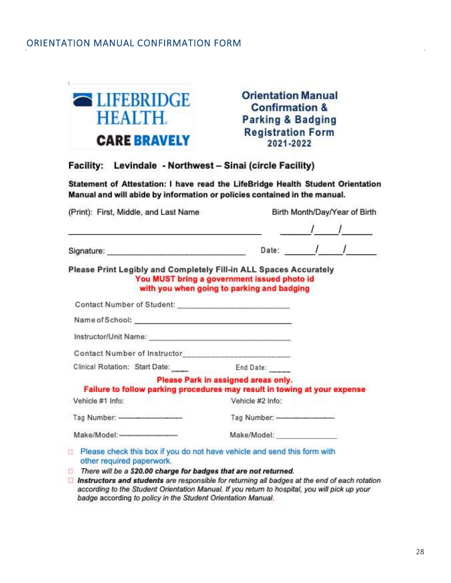### <span id="page-27-0"></span>ORIENTATION MANUAL CONFIRMATION FORM



#### Facility: Levindale - Northwest - Sinai (circle Facility)

Statement of Attestation: I have read the LifeBridge Health Student Orientation Manual and will abide by information or policies contained in the manual.

| (Print): First, Middle, and Last Name<br>and the control of the control of the control of the control of the control of the control of the control of the                |                                                                                           | Birth Month/Day/Year of Birth     |
|--------------------------------------------------------------------------------------------------------------------------------------------------------------------------|-------------------------------------------------------------------------------------------|-----------------------------------|
|                                                                                                                                                                          |                                                                                           | Date: $\frac{1}{1}$ $\frac{1}{1}$ |
| Please Print Legibly and Completely Fill-in ALL Spaces Accurately                                                                                                        | You MUST bring a government issued photo id<br>with you when going to parking and badging |                                   |
| Contact Number of Student: ___________________________                                                                                                                   |                                                                                           |                                   |
|                                                                                                                                                                          |                                                                                           |                                   |
|                                                                                                                                                                          |                                                                                           |                                   |
|                                                                                                                                                                          |                                                                                           |                                   |
| Clinical Rotation: Start Date: End Date:                                                                                                                                 |                                                                                           |                                   |
| Failure to follow parking procedures may result in towing at your expense                                                                                                | Please Park in assigned areas only.                                                       |                                   |
| Vehicle #1 Info:                                                                                                                                                         | Vehicle #2 Info:                                                                          |                                   |
|                                                                                                                                                                          |                                                                                           |                                   |
|                                                                                                                                                                          |                                                                                           |                                   |
| Please check this box if you do not have vehicle and send this form with<br>other required paperwork.                                                                    |                                                                                           |                                   |
| There will be a \$20.00 charge for badges that are not returned.<br>$\Box$ Instructors and students are responsible for returning all hadges at the end of each mightype |                                                                                           |                                   |

 $\Box$  Instructors and students are responsible for returning all badges at the end of each rotation according to the Student Orientation Manual. If you return to hospital, you will pick up your badge according to policy in the Student Orientation Manual.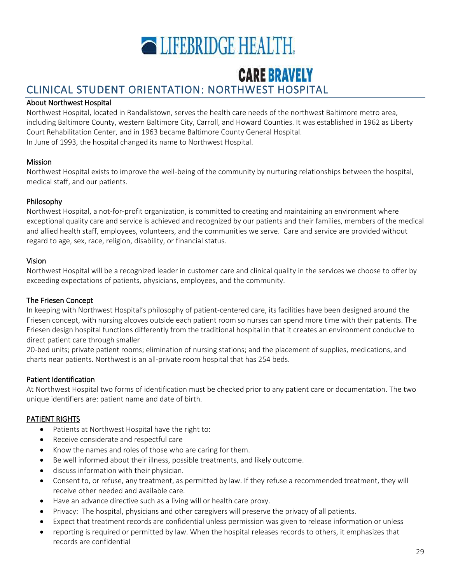

# **CARE BRAVELY**

# <span id="page-28-1"></span><span id="page-28-0"></span>CLINICAL STUDENT ORIENTATION: NORTHWEST HOSPITAL

#### About Northwest Hospital

Northwest Hospital, located in Randallstown, serves the health care needs of the northwest Baltimore metro area, including Baltimore County, western Baltimore City, Carroll, and Howard Counties. It was established in 1962 as Liberty Court Rehabilitation Center, and in 1963 became Baltimore County General Hospital. In June of 1993, the hospital changed its name to Northwest Hospital.

#### Mission

Northwest Hospital exists to improve the well-being of the community by nurturing relationships between the hospital, medical staff, and our patients.

#### Philosophy

Northwest Hospital, a not-for-profit organization, is committed to creating and maintaining an environment where exceptional quality care and service is achieved and recognized by our patients and their families, members of the medical and allied health staff, employees, volunteers, and the communities we serve. Care and service are provided without regard to age, sex, race, religion, disability, or financial status.

#### Vision

Northwest Hospital will be a recognized leader in customer care and clinical quality in the services we choose to offer by exceeding expectations of patients, physicians, employees, and the community.

#### The Friesen Concept

In keeping with Northwest Hospital's philosophy of patient-centered care, its facilities have been designed around the Friesen concept, with nursing alcoves outside each patient room so nurses can spend more time with their patients. The Friesen design hospital functions differently from the traditional hospital in that it creates an environment conducive to direct patient care through smaller

20-bed units; private patient rooms; elimination of nursing stations; and the placement of supplies, medications, and charts near patients. Northwest is an all-private room hospital that has 254 beds.

#### Patient Identification

At Northwest Hospital two forms of identification must be checked prior to any patient care or documentation. The two unique identifiers are: patient name and date of birth.

#### PATIENT RIGHTS

- Patients at Northwest Hospital have the right to:
- Receive considerate and respectful care
- Know the names and roles of those who are caring for them.
- Be well informed about their illness, possible treatments, and likely outcome.
- discuss information with their physician.
- Consent to, or refuse, any treatment, as permitted by law. If they refuse a recommended treatment, they will receive other needed and available care.
- Have an advance directive such as a living will or health care proxy.
- Privacy: The hospital, physicians and other caregivers will preserve the privacy of all patients.
- Expect that treatment records are confidential unless permission was given to release information or unless
- reporting is required or permitted by law. When the hospital releases records to others, it emphasizes that records are confidential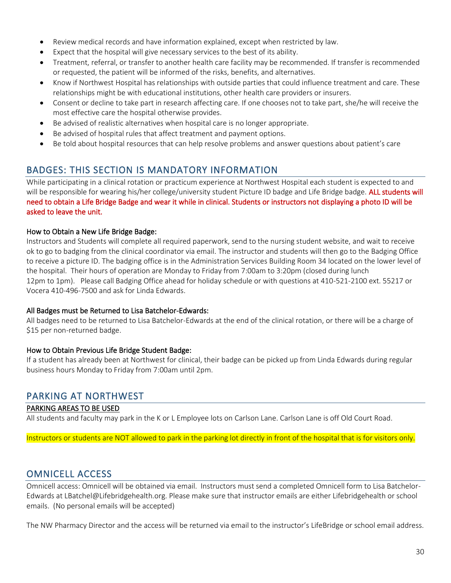- Review medical records and have information explained, except when restricted by law.
- Expect that the hospital will give necessary services to the best of its ability.
- Treatment, referral, or transfer to another health care facility may be recommended. If transfer is recommended or requested, the patient will be informed of the risks, benefits, and alternatives.
- Know if Northwest Hospital has relationships with outside parties that could influence treatment and care. These relationships might be with educational institutions, other health care providers or insurers.
- Consent or decline to take part in research affecting care. If one chooses not to take part, she/he will receive the most effective care the hospital otherwise provides.
- Be advised of realistic alternatives when hospital care is no longer appropriate.
- Be advised of hospital rules that affect treatment and payment options.
- Be told about hospital resources that can help resolve problems and answer questions about patient's care

### <span id="page-29-0"></span>BADGES: THIS SECTION IS MANDATORY INFORMATION

While participating in a clinical rotation or practicum experience at Northwest Hospital each student is expected to and will be responsible for wearing his/her college/university student Picture ID badge and Life Bridge badge. ALL students will need to obtain a Life Bridge Badge and wear it while in clinical. Students or instructors not displaying a photo ID will be asked to leave the unit.

#### How to Obtain a New Life Bridge Badge:

Instructors and Students will complete all required paperwork, send to the nursing student website, and wait to receive ok to go to badging from the clinical coordinator via email. The instructor and students will then go to the Badging Office to receive a picture ID. The badging office is in the Administration Services Building Room 34 located on the lower level of the hospital. Their hours of operation are Monday to Friday from 7:00am to 3:20pm (closed during lunch 12pm to 1pm). Please call Badging Office ahead for holiday schedule or with questions at 410-521-2100 ext. 55217 or Vocera 410-496-7500 and ask for Linda Edwards.

#### All Badges must be Returned to Lisa Batchelor-Edwards:

All badges need to be returned to Lisa Batchelor-Edwards at the end of the clinical rotation, or there will be a charge of \$15 per non-returned badge.

#### How to Obtain Previous Life Bridge Student Badge:

If a student has already been at Northwest for clinical, their badge can be picked up from Linda Edwards during regular business hours Monday to Friday from 7:00am until 2pm.

### <span id="page-29-1"></span>PARKING AT NORTHWEST

#### PARKING AREAS TO BE USED

All students and faculty may park in the K or L Employee lots on Carlson Lane. Carlson Lane is off Old Court Road.

Instructors or students are NOT allowed to park in the parking lot directly in front of the hospital that is for visitors only.

### <span id="page-29-2"></span>OMNICELL ACCESS

Omnicell access: Omnicell will be obtained via email. Instructors must send a completed Omnicell form to Lisa Batchelor-Edwards at LBatchel@Lifebridgehealth.org. Please make sure that instructor emails are either Lifebridgehealth or school emails. (No personal emails will be accepted)

The NW Pharmacy Director and the access will be returned via email to the instructor's LifeBridge or school email address.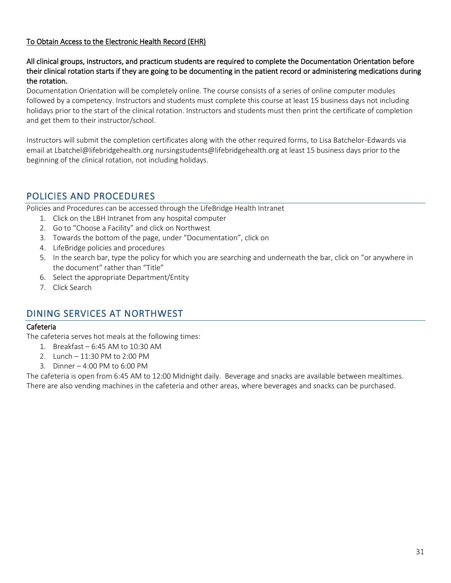#### To Obtain Access to the Electronic Health Record (EHR)

#### All clinical groups, instructors, and practicum students are required to complete the Documentation Orientation before their clinical rotation starts if they are going to be documenting in the patient record or administering medications during the rotation.

Documentation Orientation will be completely online. The course consists of a series of online computer modules followed by a competency. Instructors and students must complete this course at least 15 business days not including holidays prior to the start of the clinical rotation. Instructors and students must then print the certificate of completion and get them to their instructor/school.

Instructors will submit the completion certificates along with the other required forms, to Lisa Batchelor-Edwards via email at Lbatchel@lifebridgehealth.org nursingstudents@lifebridgehealth.org at least 15 business days prior to the beginning of the clinical rotation, not including holidays.

### <span id="page-30-0"></span>POLICIES AND PROCEDURES

Policies and Procedures can be accessed through the LifeBridge Health Intranet

- 1. Click on the LBH Intranet from any hospital computer
- 2. Go to "Choose a Facility" and click on Northwest
- 3. Towards the bottom of the page, under "Documentation", click on
- 4. LifeBridge policies and procedures
- 5. In the search bar, type the policy for which you are searching and underneath the bar, click on "or anywhere in the document" rather than "Title"
- 6. Select the appropriate Department/Entity
- 7. Click Search

### <span id="page-30-1"></span>DINING SERVICES AT NORTHWEST

#### Cafeteria

The cafeteria serves hot meals at the following times:

- 1. Breakfast 6:45 AM to 10:30 AM
- 2. Lunch 11:30 PM to 2:00 PM
- 3. Dinner 4:00 PM to 6:00 PM

The cafeteria is open from 6:45 AM to 12:00 Midnight daily. Beverage and snacks are available between mealtimes. There are also vending machines in the cafeteria and other areas, where beverages and snacks can be purchased.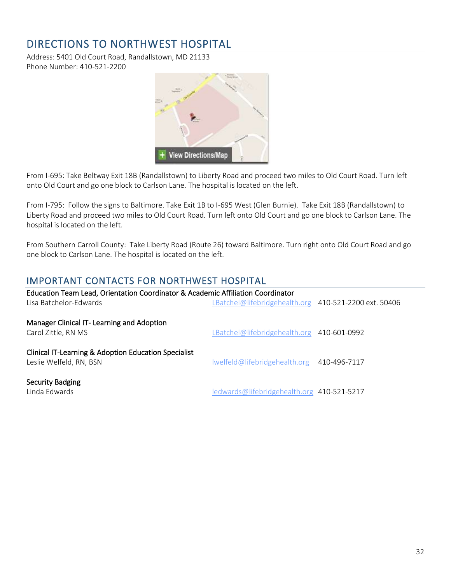# <span id="page-31-0"></span>DIRECTIONS TO NORTHWEST HOSPITAL

Address: 5401 Old Court Road, Randallstown, MD 21133 Phone Number: 410-521-2200



From I-695: Take Beltway Exit 18B (Randallstown) to Liberty Road and proceed two miles to Old Court Road. Turn left onto Old Court and go one block to Carlson Lane. The hospital is located on the left.

From I-795: Follow the signs to Baltimore. Take Exit 1B to I-695 West (Glen Burnie). Take Exit 18B (Randallstown) to Liberty Road and proceed two miles to Old Court Road. Turn left onto Old Court and go one block to Carlson Lane. The hospital is located on the left.

From Southern Carroll County: Take Liberty Road (Route 26) toward Baltimore. Turn right onto Old Court Road and go one block to Carlson Lane. The hospital is located on the left.

### <span id="page-31-1"></span>IMPORTANT CONTACTS FOR NORTHWEST HOSPITAL

| Education Team Lead, Orientation Coordinator & Academic Affiliation Coordinator<br>Lisa Batchelor-Edwards | LBatchel@lifebridgehealth.org 410-521-2200 ext. 50406 |              |
|-----------------------------------------------------------------------------------------------------------|-------------------------------------------------------|--------------|
| Manager Clinical IT- Learning and Adoption<br>Carol Zittle, RN MS                                         | LBatchel@lifebridgehealth.org 410-601-0992            |              |
| Clinical IT-Learning & Adoption Education Specialist<br>Leslie Welfeld, RN, BSN                           | Iwelfeld@lifebridgehealth.org                         | 410-496-7117 |
| <b>Security Badging</b><br>Linda Edwards                                                                  | ledwards@lifebridgehealth.org 410-521-5217            |              |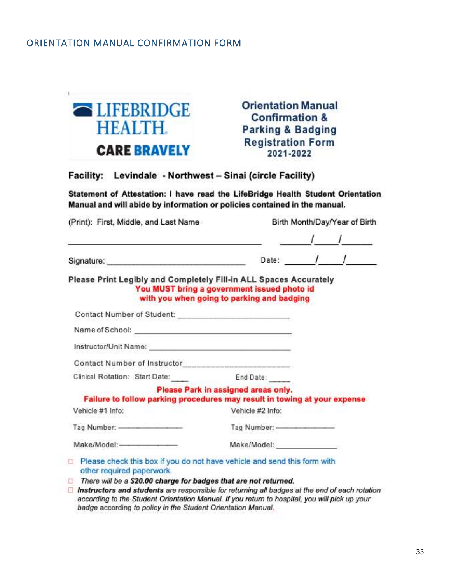<span id="page-32-0"></span> $\mathbb{R}^n$ 

| <b>ELIFEBRIDGE</b><br><b>HEALTH.</b> | <b>Orientation Manual</b><br><b>Confirmation &amp;</b><br><b>Parking &amp; Badging</b> |
|--------------------------------------|----------------------------------------------------------------------------------------|
| <b>CARE BRAVELY</b>                  | <b>Registration Form</b><br>2021-2022                                                  |

#### Facility: Levindale - Northwest - Sinai (circle Facility)

Statement of Attestation: I have read the LifeBridge Health Student Orientation Manual and will abide by information or policies contained in the manual.

| (Print): First, Middle, and Last Name                                                                                                                                                                                                                                                       |                                                                                           |                                                                                                                | Birth Month/Day/Year of Birth |
|---------------------------------------------------------------------------------------------------------------------------------------------------------------------------------------------------------------------------------------------------------------------------------------------|-------------------------------------------------------------------------------------------|----------------------------------------------------------------------------------------------------------------|-------------------------------|
|                                                                                                                                                                                                                                                                                             |                                                                                           |                                                                                                                | Date: $1/$                    |
| Please Print Legibly and Completely Fill-in ALL Spaces Accurately                                                                                                                                                                                                                           | You MUST bring a government issued photo id<br>with you when going to parking and badging |                                                                                                                |                               |
| Contact Number of Student: ___________________________                                                                                                                                                                                                                                      |                                                                                           |                                                                                                                |                               |
|                                                                                                                                                                                                                                                                                             |                                                                                           |                                                                                                                |                               |
|                                                                                                                                                                                                                                                                                             |                                                                                           |                                                                                                                |                               |
| Contact Number of Instructor___________________________                                                                                                                                                                                                                                     |                                                                                           |                                                                                                                |                               |
| Clinical Rotation: Start Date: End Date:                                                                                                                                                                                                                                                    |                                                                                           |                                                                                                                |                               |
| Failure to follow parking procedures may result in towing at your expense                                                                                                                                                                                                                   | Please Park in assigned areas only.                                                       | THE THE REPORT OF A STRUCK CONTRACTOR COMPANY                                                                  |                               |
| Vehicle #1 Info:<br>and the second control of the second second second second second second second second second second second second second second second second second second second second second second second second second second second sec                                          | Vehicle #2 Info:                                                                          |                                                                                                                |                               |
|                                                                                                                                                                                                                                                                                             |                                                                                           |                                                                                                                |                               |
|                                                                                                                                                                                                                                                                                             |                                                                                           |                                                                                                                |                               |
| Please check this box if you do not have vehicle and send this form with<br>other required paperwork.<br>There will be a \$20.00 charge for badges that are not returned.<br>in the state of the state of the state of the state of the state of the state of the state of the state of the |                                                                                           | The contract of the company of the contract of the contract of the contract of the contract of the contract of |                               |

 $\Box$  Instructors and students are responsible for returning all badges at the end of each rotation according to the Student Orientation Manual. If you return to hospital, you will pick up your badge according to policy in the Student Orientation Manual.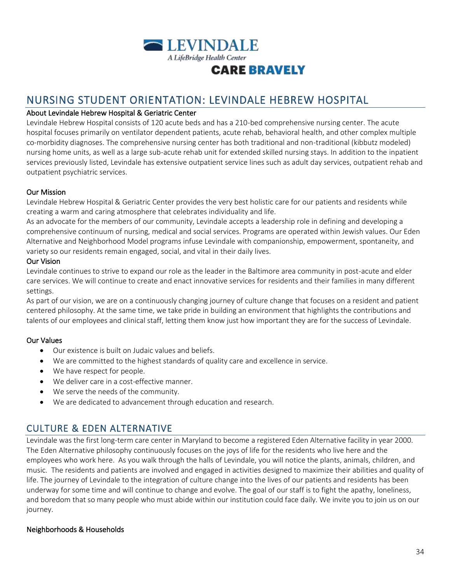

# <span id="page-33-0"></span>NURSING STUDENT ORIENTATION: LEVINDALE HEBREW HOSPITAL

#### About Levindale Hebrew Hospital & Geriatric Center

Levindale Hebrew Hospital consists of 120 acute beds and has a 210-bed comprehensive nursing center. The acute hospital focuses primarily on ventilator dependent patients, acute rehab, behavioral health, and other complex multiple co-morbidity diagnoses. The comprehensive nursing center has both traditional and non-traditional (kibbutz modeled) nursing home units, as well as a large sub-acute rehab unit for extended skilled nursing stays. In addition to the inpatient services previously listed, Levindale has extensive outpatient service lines such as adult day services, outpatient rehab and outpatient psychiatric services.

#### Our Mission

Levindale Hebrew Hospital & Geriatric Center provides the very best holistic care for our patients and residents while creating a warm and caring atmosphere that celebrates individuality and life.

As an advocate for the members of our community, Levindale accepts a leadership role in defining and developing a comprehensive continuum of nursing, medical and social services. Programs are operated within Jewish values. Our Eden Alternative and Neighborhood Model programs infuse Levindale with companionship, empowerment, spontaneity, and variety so our residents remain engaged, social, and vital in their daily lives.

#### Our Vision

Levindale continues to strive to expand our role as the leader in the Baltimore area community in post-acute and elder care services. We will continue to create and enact innovative services for residents and their families in many different settings.

As part of our vision, we are on a continuously changing journey of culture change that focuses on a resident and patient centered philosophy. At the same time, we take pride in building an environment that highlights the contributions and talents of our employees and clinical staff, letting them know just how important they are for the success of Levindale.

#### Our Values

- Our existence is built on Judaic values and beliefs.
- We are committed to the highest standards of quality care and excellence in service.
- We have respect for people.
- We deliver care in a cost-effective manner.
- We serve the needs of the community.
- We are dedicated to advancement through education and research.

### <span id="page-33-1"></span>CULTURE & EDEN ALTERNATIVE

Levindale was the first long-term care center in Maryland to become a registered Eden Alternative facility in year 2000. The Eden Alternative philosophy continuously focuses on the joys of life for the residents who live here and the employees who work here. As you walk through the halls of Levindale, you will notice the plants, animals, children, and music. The residents and patients are involved and engaged in activities designed to maximize their abilities and quality of life. The journey of Levindale to the integration of culture change into the lives of our patients and residents has been underway for some time and will continue to change and evolve. The goal of our staff is to fight the apathy, loneliness, and boredom that so many people who must abide within our institution could face daily. We invite you to join us on our journey.

#### Neighborhoods & Households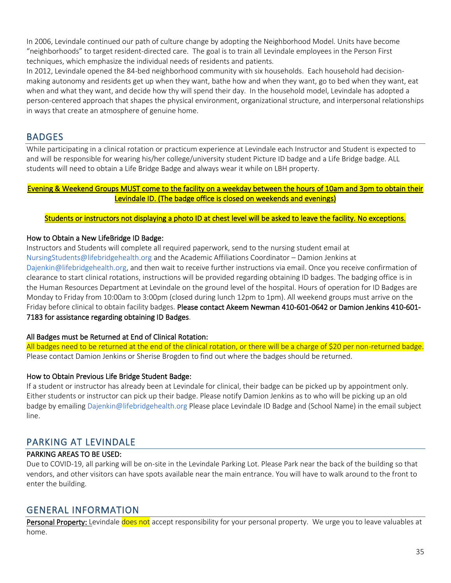In 2006, Levindale continued our path of culture change by adopting the Neighborhood Model. Units have become "neighborhoods" to target resident-directed care. The goal is to train all Levindale employees in the Person First techniques, which emphasize the individual needs of residents and patients.

In 2012, Levindale opened the 84-bed neighborhood community with six households. Each household had decisionmaking autonomy and residents get up when they want, bathe how and when they want, go to bed when they want, eat when and what they want, and decide how thy will spend their day. In the household model, Levindale has adopted a person-centered approach that shapes the physical environment, organizational structure, and interpersonal relationships in ways that create an atmosphere of genuine home.

### <span id="page-34-0"></span>BADGES

While participating in a clinical rotation or practicum experience at Levindale each Instructor and Student is expected to and will be responsible for wearing his/her college/university student Picture ID badge and a Life Bridge badge. ALL students will need to obtain a Life Bridge Badge and always wear it while on LBH property.

#### Evening & Weekend Groups MUST come to the facility on a weekday between the hours of 10am and 3pm to obtain their Levindale ID. (The badge office is closed on weekends and evenings)

#### Students or instructors not displaying a photo ID at chest level will be asked to leave the facility. No exceptions.

#### How to Obtain a New LifeBridge ID Badge:

Instructors and Students will complete all required paperwork, send to the nursing student email at NursingStudents@lifebridgehealth.org and the Academic Affiliations Coordinator – Damion Jenkins at Dajenkin@lifebridgehealth.org, and then wait to receive further instructions via email. Once you receive confirmation of clearance to start clinical rotations, instructions will be provided regarding obtaining ID badges. The badging office is in the Human Resources Department at Levindale on the ground level of the hospital. Hours of operation for ID Badges are Monday to Friday from 10:00am to 3:00pm (closed during lunch 12pm to 1pm). All weekend groups must arrive on the Friday before clinical to obtain facility badges. Please contact Akeem Newman 410-601-0642 or Damion Jenkins 410-601- 7183 for assistance regarding obtaining ID Badges.

#### All Badges must be Returned at End of Clinical Rotation:

All badges need to be returned at the end of the clinical rotation, or there will be a charge of \$20 per non-returned badge. Please contact Damion Jenkins or Sherise Brogden to find out where the badges should be returned.

#### How to Obtain Previous Life Bridge Student Badge:

If a student or instructor has already been at Levindale for clinical, their badge can be picked up by appointment only. Either students or instructor can pick up their badge. Please notify Damion Jenkins as to who will be picking up an old badge by emailing Dajenkin@lifebridgehealth.org Please place Levindale ID Badge and (School Name) in the email subject line.

### <span id="page-34-1"></span>PARKING AT LEVINDALE

#### PARKING AREAS TO BE USED:

Due to COVID-19, all parking will be on-site in the Levindale Parking Lot. Please Park near the back of the building so that vendors, and other visitors can have spots available near the main entrance. You will have to walk around to the front to enter the building.

### <span id="page-34-2"></span>GENERAL INFORMATION

Personal Property: Levindale does not accept responsibility for your personal property. We urge you to leave valuables at home.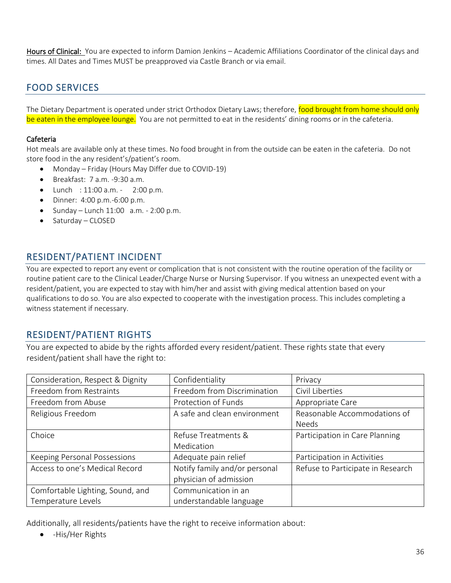Hours of Clinical: You are expected to inform Damion Jenkins – Academic Affiliations Coordinator of the clinical days and times. All Dates and Times MUST be preapproved via Castle Branch or via email.

## <span id="page-35-0"></span>FOOD SERVICES

The Dietary Department is operated under strict Orthodox Dietary Laws; therefore, food brought from home should only be eaten in the employee lounge. You are not permitted to eat in the residents' dining rooms or in the cafeteria.

#### Cafeteria

Hot meals are available only at these times. No food brought in from the outside can be eaten in the cafeteria. Do not store food in the any resident's/patient's room.

- Monday Friday (Hours May Differ due to COVID-19)
- Breakfast: 7 a.m. -9:30 a.m.
- Lunch : 11:00 a.m. 2:00 p.m.
- Dinner: 4:00 p.m.-6:00 p.m.
- Sunday Lunch  $11:00$  a.m. 2:00 p.m.
- Saturday CLOSED

### <span id="page-35-1"></span>RESIDENT/PATIENT INCIDENT

You are expected to report any event or complication that is not consistent with the routine operation of the facility or routine patient care to the Clinical Leader/Charge Nurse or Nursing Supervisor. If you witness an unexpected event with a resident/patient, you are expected to stay with him/her and assist with giving medical attention based on your qualifications to do so. You are also expected to cooperate with the investigation process. This includes completing a witness statement if necessary.

### <span id="page-35-2"></span>RESIDENT/PATIENT RIGHTS

You are expected to abide by the rights afforded every resident/patient. These rights state that every resident/patient shall have the right to:

| Consideration, Respect & Dignity | Confidentiality               | Privacy                           |
|----------------------------------|-------------------------------|-----------------------------------|
| Freedom from Restraints          | Freedom from Discrimination   | Civil Liberties                   |
| Freedom from Abuse               | Protection of Funds           | Appropriate Care                  |
| Religious Freedom                | A safe and clean environment  | Reasonable Accommodations of      |
|                                  |                               | <b>Needs</b>                      |
| Choice                           | Refuse Treatments &           | Participation in Care Planning    |
|                                  | Medication                    |                                   |
| Keeping Personal Possessions     | Adequate pain relief          | Participation in Activities       |
| Access to one's Medical Record   | Notify family and/or personal | Refuse to Participate in Research |
|                                  | physician of admission        |                                   |
| Comfortable Lighting, Sound, and | Communication in an           |                                   |
| Temperature Levels               | understandable language       |                                   |

Additionally, all residents/patients have the right to receive information about:

• -His/Her Rights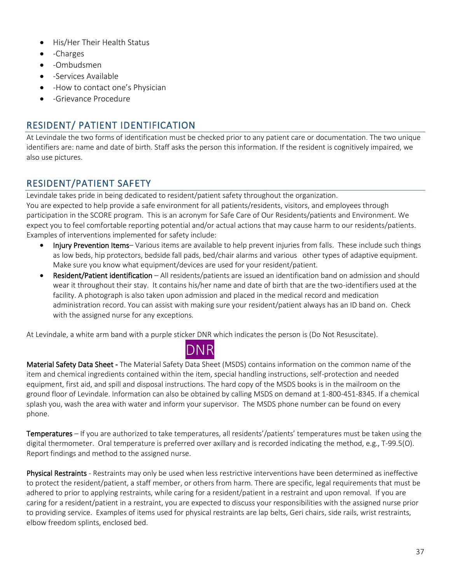- His/Her Their Health Status
- -Charges
- -Ombudsmen
- -Services Available
- -How to contact one's Physician
- -Grievance Procedure

### <span id="page-36-0"></span>RESIDENT/ PATIENT IDENTIFICATION

At Levindale the two forms of identification must be checked prior to any patient care or documentation. The two unique identifiers are: name and date of birth. Staff asks the person this information. If the resident is cognitively impaired, we also use pictures.

### <span id="page-36-1"></span>RESIDENT/PATIENT SAFETY

Levindale takes pride in being dedicated to resident/patient safety throughout the organization. You are expected to help provide a safe environment for all patients/residents, visitors, and employees through participation in the SCORE program. This is an acronym for Safe Care of Our Residents/patients and Environment. We expect you to feel comfortable reporting potential and/or actual actions that may cause harm to our residents/patients. Examples of interventions implemented for safety include:

- Injury Prevention Items– Various items are available to help prevent injuries from falls. These include such things as low beds, hip protectors, bedside fall pads, bed/chair alarms and various other types of adaptive equipment. Make sure you know what equipment/devices are used for your resident/patient.
- Resident/Patient identification All residents/patients are issued an identification band on admission and should wear it throughout their stay. It contains his/her name and date of birth that are the two-identifiers used at the facility. A photograph is also taken upon admission and placed in the medical record and medication administration record. You can assist with making sure your resident/patient always has an ID band on. Check with the assigned nurse for any exceptions.

At Levindale, a white arm band with a purple sticker DNR which indicates the person is (Do Not Resuscitate).



Material Safety Data Sheet - The Material Safety Data Sheet (MSDS) contains information on the common name of the item and chemical ingredients contained within the item, special handling instructions, self-protection and needed equipment, first aid, and spill and disposal instructions. The hard copy of the MSDS books is in the mailroom on the ground floor of Levindale. Information can also be obtained by calling MSDS on demand at 1-800-451-8345. If a chemical splash you, wash the area with water and inform your supervisor. The MSDS phone number can be found on every phone.

Temperatures – If you are authorized to take temperatures, all residents'/patients' temperatures must be taken using the digital thermometer. Oral temperature is preferred over axillary and is recorded indicating the method, e.g., T-99.5(O). Report findings and method to the assigned nurse.

Physical Restraints - Restraints may only be used when less restrictive interventions have been determined as ineffective to protect the resident/patient, a staff member, or others from harm. There are specific, legal requirements that must be adhered to prior to applying restraints, while caring for a resident/patient in a restraint and upon removal. If you are caring for a resident/patient in a restraint, you are expected to discuss your responsibilities with the assigned nurse prior to providing service. Examples of items used for physical restraints are lap belts, Geri chairs, side rails, wrist restraints, elbow freedom splints, enclosed bed.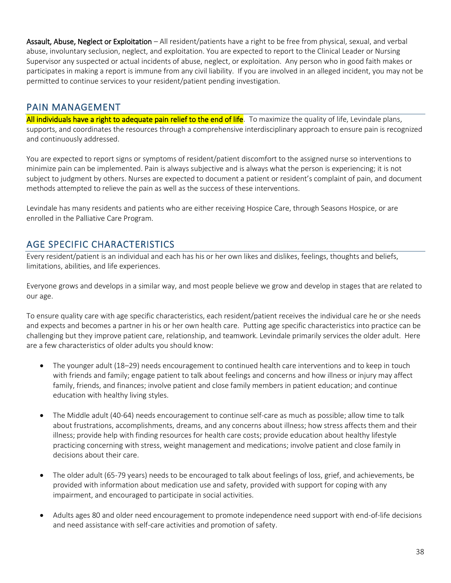Assault, Abuse, Neglect or Exploitation – All resident/patients have a right to be free from physical, sexual, and verbal abuse, involuntary seclusion, neglect, and exploitation. You are expected to report to the Clinical Leader or Nursing Supervisor any suspected or actual incidents of abuse, neglect, or exploitation. Any person who in good faith makes or participates in making a report is immune from any civil liability. If you are involved in an alleged incident, you may not be permitted to continue services to your resident/patient pending investigation.

### <span id="page-37-0"></span>PAIN MANAGEMENT

All individuals have a right to adequate pain relief to the end of life. To maximize the quality of life, Levindale plans, supports, and coordinates the resources through a comprehensive interdisciplinary approach to ensure pain is recognized and continuously addressed.

You are expected to report signs or symptoms of resident/patient discomfort to the assigned nurse so interventions to minimize pain can be implemented. Pain is always subjective and is always what the person is experiencing; it is not subject to judgment by others. Nurses are expected to document a patient or resident's complaint of pain, and document methods attempted to relieve the pain as well as the success of these interventions.

Levindale has many residents and patients who are either receiving Hospice Care, through Seasons Hospice, or are enrolled in the Palliative Care Program.

### <span id="page-37-1"></span>AGE SPECIFIC CHARACTERISTICS

Every resident/patient is an individual and each has his or her own likes and dislikes, feelings, thoughts and beliefs, limitations, abilities, and life experiences.

Everyone grows and develops in a similar way, and most people believe we grow and develop in stages that are related to our age.

To ensure quality care with age specific characteristics, each resident/patient receives the individual care he or she needs and expects and becomes a partner in his or her own health care. Putting age specific characteristics into practice can be challenging but they improve patient care, relationship, and teamwork. Levindale primarily services the older adult. Here are a few characteristics of older adults you should know:

- The younger adult (18–29) needs encouragement to continued health care interventions and to keep in touch with friends and family; engage patient to talk about feelings and concerns and how illness or injury may affect family, friends, and finances; involve patient and close family members in patient education; and continue education with healthy living styles.
- The Middle adult (40-64) needs encouragement to continue self-care as much as possible; allow time to talk about frustrations, accomplishments, dreams, and any concerns about illness; how stress affects them and their illness; provide help with finding resources for health care costs; provide education about healthy lifestyle practicing concerning with stress, weight management and medications; involve patient and close family in decisions about their care.
- The older adult (65-79 years) needs to be encouraged to talk about feelings of loss, grief, and achievements, be provided with information about medication use and safety, provided with support for coping with any impairment, and encouraged to participate in social activities.
- Adults ages 80 and older need encouragement to promote independence need support with end-of-life decisions and need assistance with self-care activities and promotion of safety.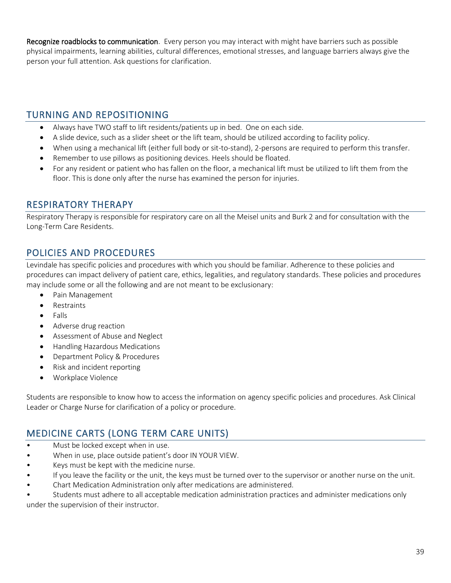Recognize roadblocks to communication. Every person you may interact with might have barriers such as possible physical impairments, learning abilities, cultural differences, emotional stresses, and language barriers always give the person your full attention. Ask questions for clarification.

### <span id="page-38-0"></span>TURNING AND REPOSITIONING

- Always have TWO staff to lift residents/patients up in bed. One on each side.
- A slide device, such as a slider sheet or the lift team, should be utilized according to facility policy.
- When using a mechanical lift (either full body or sit-to-stand), 2-persons are required to perform this transfer.
- Remember to use pillows as positioning devices. Heels should be floated.
- For any resident or patient who has fallen on the floor, a mechanical lift must be utilized to lift them from the floor. This is done only after the nurse has examined the person for injuries.

### <span id="page-38-1"></span>RESPIRATORY THERAPY

Respiratory Therapy is responsible for respiratory care on all the Meisel units and Burk 2 and for consultation with the Long-Term Care Residents.

### <span id="page-38-2"></span>POLICIES AND PROCEDURES

Levindale has specific policies and procedures with which you should be familiar. Adherence to these policies and procedures can impact delivery of patient care, ethics, legalities, and regulatory standards. These policies and procedures may include some or all the following and are not meant to be exclusionary:

- Pain Management
- Restraints
- Falls
- Adverse drug reaction
- Assessment of Abuse and Neglect
- Handling Hazardous Medications
- Department Policy & Procedures
- Risk and incident reporting
- Workplace Violence

Students are responsible to know how to access the information on agency specific policies and procedures. Ask Clinical Leader or Charge Nurse for clarification of a policy or procedure.

### <span id="page-38-3"></span>MEDICINE CARTS (LONG TERM CARE UNITS)

- Must be locked except when in use.
- When in use, place outside patient's door IN YOUR VIEW.
- Keys must be kept with the medicine nurse.
- If you leave the facility or the unit, the keys must be turned over to the supervisor or another nurse on the unit.
- Chart Medication Administration only after medications are administered.

• Students must adhere to all acceptable medication administration practices and administer medications only under the supervision of their instructor.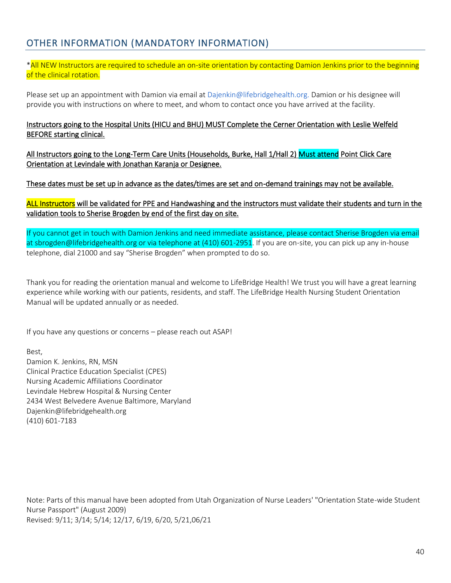### <span id="page-39-0"></span>OTHER INFORMATION (MANDATORY INFORMATION)

#### \*All NEW Instructors are required to schedule an on-site orientation by contacting Damion Jenkins prior to the beginning of the clinical rotation.

Please set up an appointment with Damion via email at Dajenkin@lifebridgehealth.org. Damion or his designee will provide you with instructions on where to meet, and whom to contact once you have arrived at the facility.

#### Instructors going to the Hospital Units (HICU and BHU) MUST Complete the Cerner Orientation with Leslie Welfeld BEFORE starting clinical.

All Instructors going to the Long-Term Care Units (Households, Burke, Hall 1/Hall 2) Must attend Point Click Care Orientation at Levindale with Jonathan Karanja or Designee.

#### These dates must be set up in advance as the dates/times are set and on-demand trainings may not be available.

#### ALL Instructors will be validated for PPE and Handwashing and the instructors must validate their students and turn in the validation tools to Sherise Brogden by end of the first day on site.

If you cannot get in touch with Damion Jenkins and need immediate assistance, please contact Sherise Brogden via email at sbrogden@lifebridgehealth.org or via telephone at (410) 601-2951. If you are on-site, you can pick up any in-house telephone, dial 21000 and say "Sherise Brogden" when prompted to do so.

Thank you for reading the orientation manual and welcome to LifeBridge Health! We trust you will have a great learning experience while working with our patients, residents, and staff. The LifeBridge Health Nursing Student Orientation Manual will be updated annually or as needed.

If you have any questions or concerns – please reach out ASAP!

Best,

Damion K. Jenkins, RN, MSN Clinical Practice Education Specialist (CPES) Nursing Academic Affiliations Coordinator Levindale Hebrew Hospital & Nursing Center 2434 West Belvedere Avenue Baltimore, Maryland Dajenkin@lifebridgehealth.org (410) 601-7183

Note: Parts of this manual have been adopted from Utah Organization of Nurse Leaders' "Orientation State-wide Student Nurse Passport" (August 2009) Revised: 9/11; 3/14; 5/14; 12/17, 6/19, 6/20, 5/21,06/21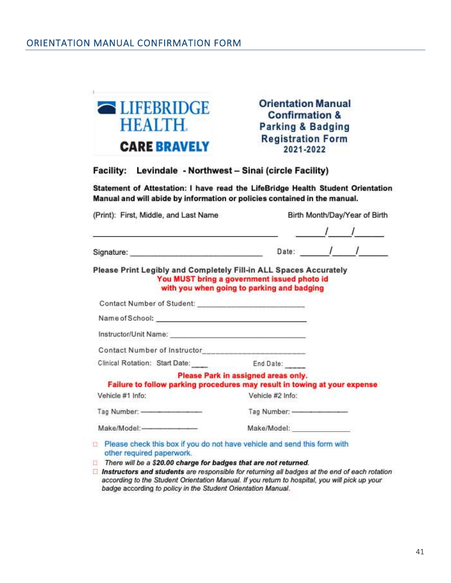<span id="page-40-0"></span>

**Orientation Manual Confirmation & Parking & Badging Registration Form** 2021-2022

Facility: Levindale - Northwest - Sinai (circle Facility)

Statement of Attestation: I have read the LifeBridge Health Student Orientation Manual and will abide by information or policies contained in the manual.

| (Print): First, Middle, and Last Name                                                                                                                                   |                                                                                           | Birth Month/Day/Year of Birth |
|-------------------------------------------------------------------------------------------------------------------------------------------------------------------------|-------------------------------------------------------------------------------------------|-------------------------------|
|                                                                                                                                                                         |                                                                                           | Date: $\frac{1}{1}$           |
| Please Print Legibly and Completely Fill-in ALL Spaces Accurately                                                                                                       | You MUST bring a government issued photo id<br>with you when going to parking and badging |                               |
|                                                                                                                                                                         |                                                                                           |                               |
|                                                                                                                                                                         |                                                                                           |                               |
|                                                                                                                                                                         |                                                                                           |                               |
|                                                                                                                                                                         |                                                                                           |                               |
| Clinical Rotation: Start Date: End Date:                                                                                                                                |                                                                                           |                               |
| Failure to follow parking procedures may result in towing at your expense                                                                                               | Please Park in assigned areas only.                                                       |                               |
| Vehicle #1 Info:<br>and the second control of the second second the second second second second second second second second second                                      | Vehicle #2 Info:                                                                          |                               |
|                                                                                                                                                                         |                                                                                           |                               |
| Make/Model: Make/Model:                                                                                                                                                 |                                                                                           |                               |
| Please check this box if you do not have vehicle and send this form with<br>other required paperwork.<br>There will be a COO OO shores for bodges that are not returned |                                                                                           |                               |

- There will be a \$20.00 charge for badges that are not returned.
- $\Box$  Instructors and students are responsible for returning all badges at the end of each rotation according to the Student Orientation Manual. If you return to hospital, you will pick up your badge according to policy in the Student Orientation Manual.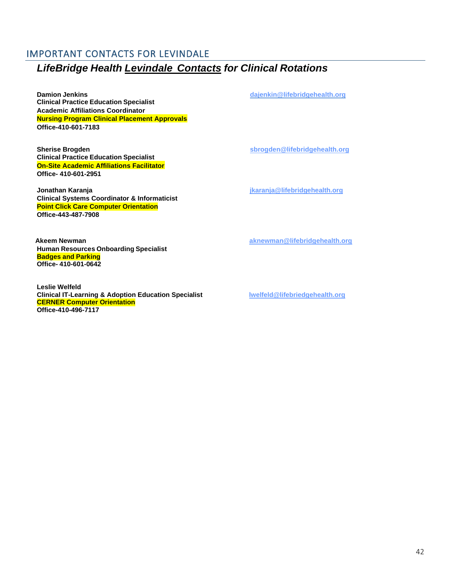## <span id="page-41-0"></span>IMPORTANT CONTACTS FOR LEVINDALE *LifeBridge Health Levindale Contacts for Clinical Rotations*

**Damion Jenkins [dajenkin@lifebridgehealth.org](mailto:dajenkin@lifebridgehealth.org) Clinical Practice Education Specialist Academic Affiliations Coordinator Nursing Program Clinical Placement Approvals Office-410-601-7183**

**Sherise Brogden [sbrogden@lifebridgehealth.org](https://chcorg.sharepoint.com/sites/ClinicalAffilationsTeam/Shared%20Documents/General/sbrogden@lifebridgehealth.org) Clinical Practice Education Specialist On-Site Academic Affiliations Facilitator Office- 410-601-2951**

**Jonathan Karanja [jkaranja@lifebridgehealth.org](mailto:jkaranja@lifebridgehealth.org) Clinical Systems Coordinator & Informaticist Point Click Care Computer Orientation Office-443-487-7908**

 **Akeem Newman [aknewman@lifebridgehealth.org](mailto:aknewman@lifebridgehealth.org) Human Resources Onboarding Specialist Badges and Parking Office- 410-601-0642**

**Leslie Welfeld Clinical IT-Learning & Adoption Education Specialist [lwelfeld@lifebriedgehealth.org](mailto:lwelfeld@lifebriedgehealth.org) CERNER Computer Orientation Office-410-496-7117**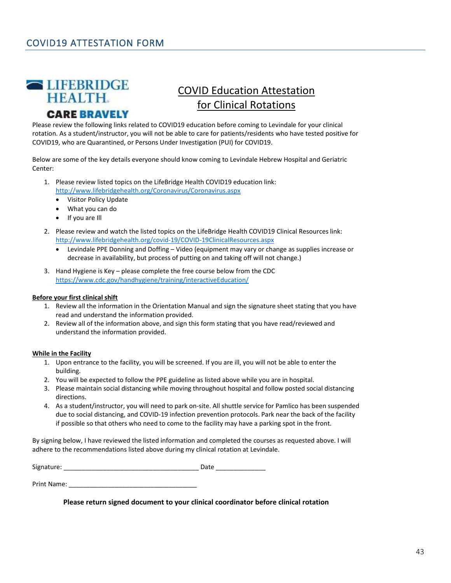<span id="page-42-0"></span>

### **CARE BRAVELY**

# COVID Education Attestation for Clinical Rotations

Please review the following links related to COVID19 education before coming to Levindale for your clinical rotation. As a student/instructor, you will not be able to care for patients/residents who have tested positive for COVID19, who are Quarantined, or Persons Under Investigation (PUI) for COVID19.

Below are some of the key details everyone should know coming to Levindale Hebrew Hospital and Geriatric Center:

- 1. Please review listed topics on the LifeBridge Health COVID19 education link: http://www.lifebridgehealth.org/Coronavirus/Coronavirus.aspx
	- Visitor Policy Update
	- What you can do
	- If you are Ill
- 2. Please review and watch the listed topics on the LifeBridge Health COVID19 Clinical Resources link: http://www.lifebridgehealth.org/covid-19/COVID-19ClinicalResources.aspx
	- Levindale PPE Donning and Doffing Video (equipment may vary or change as supplies increase or decrease in availability, but process of putting on and taking off will not change.)
- 3. Hand Hygiene is Key please complete the free course below from the CDC https://www.cdc.gov/handhygiene/training/interactiveEducation/

#### **Before your first clinical shift**

- 1. Review all the information in the Orientation Manual and sign the signature sheet stating that you have read and understand the information provided.
- 2. Review all of the information above, and sign this form stating that you have read/reviewed and understand the information provided.

#### **While in the Facility**

- 1. Upon entrance to the facility, you will be screened. If you are ill, you will not be able to enter the building.
- 2. You will be expected to follow the PPE guideline as listed above while you are in hospital.
- 3. Please maintain social distancing while moving throughout hospital and follow posted social distancing directions.
- 4. As a student/instructor, you will need to park on-site. All shuttle service for Pamlico has been suspended due to social distancing, and COVID-19 infection prevention protocols. Park near the back of the facility if possible so that others who need to come to the facility may have a parking spot in the front.

By signing below, I have reviewed the listed information and completed the courses as requested above. I will adhere to the recommendations listed above during my clinical rotation at Levindale.

Signature: \_\_\_\_\_\_\_\_\_\_\_\_\_\_\_\_\_\_\_\_\_\_\_\_\_\_\_\_\_\_\_\_\_\_\_\_\_\_ Date \_\_\_\_\_\_\_\_\_\_\_\_\_\_

Print Name: \_\_\_\_\_\_\_\_\_\_\_\_\_\_\_\_\_\_\_\_\_\_\_\_\_\_\_\_\_\_\_\_\_\_\_\_

**Please return signed document to your clinical coordinator before clinical rotation**